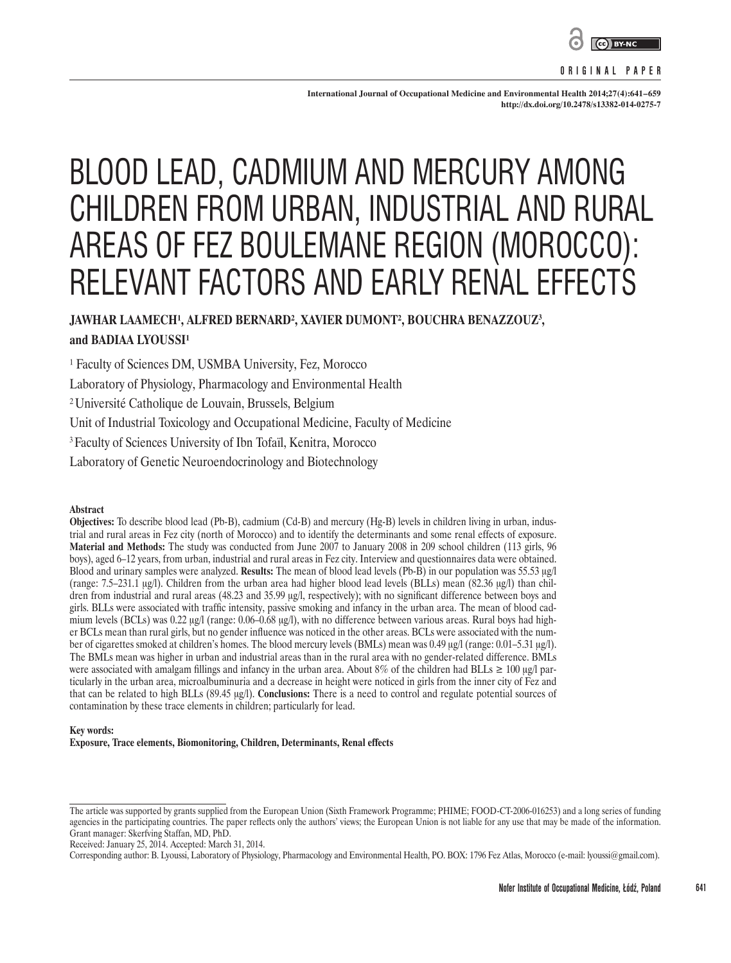

#### **ORIGINAL PAPER**

**International Journal of Occupational Medicine and Environmental Health 2014;27(4):641–659 http://dx.doi.org/10.2478/s13382-014-0275-7**

# BLOOD LEAD, CADMIUM AND MERCURY AMONG CHILDREN FROM URBAN, INDUSTRIAL AND RURAL AREAS OF FEZ BOULEMANE REGION (MOROCCO): RELEVANT FACTORS AND EARLY RENAL EFFECTS

JAWHAR LAAMECH<sup>1</sup>, ALFRED BERNARD<sup>2</sup>, XAVIER DUMONT<sup>2</sup>, BOUCHRA BENAZZOUZ<sup>3</sup>, and **BADIAA LYOUSSI<sup>1</sup>** 

<sup>1</sup> Faculty of Sciences DM, USMBA University, Fez, Morocco

Laboratory of Physiology, Pharmacology and Environmental Health

² Université Catholique de Louvain, Brussels, Belgium

Unit of Industrial Toxicology and Occupational Medicine, Faculty of Medicine

3 Faculty of Sciences University of Ibn Tofaïl, Kenitra, Morocco

Laboratory of Genetic Neuroendocrinology and Biotechnology

#### **Abstract**

**Objectives:** To describe blood lead (Pb-B), cadmium (Cd-B) and mercury (Hg-B) levels in children living in urban, industrial and rural areas in Fez city (north of Morocco) and to identify the determinants and some renal effects of exposure. **Material and Methods:** The study was conducted from June 2007 to January 2008 in 209 school children (113 girls, 96 boys), aged 6–12 years, from urban, industrial and rural areas in Fez city. Interview and questionnaires data were obtained. Blood and urinary samples were analyzed. **Results:** The mean of blood lead levels (Pb-B) in our population was 55.53 μg/l (range: 7.5–231.1 μg/l). Children from the urban area had higher blood lead levels (BLLs) mean (82.36 μg/l) than children from industrial and rural areas (48.23 and 35.99 μg/l, respectively); with no significant difference between boys and girls. BLLs were associated with traffic intensity, passive smoking and infancy in the urban area. The mean of blood cadmium levels (BCLs) was 0.22 μg/l (range: 0.06–0.68 μg/l), with no difference between various areas. Rural boys had higher BCLs mean than rural girls, but no gender influence was noticed in the other areas. BCLs were associated with the number of cigarettes smoked at children's homes. The blood mercury levels (BMLs) mean was 0.49 μg/l (range: 0.01–5.31 μg/l). The BMLs mean was higher in urban and industrial areas than in the rural area with no gender-related difference. BMLs were associated with amalgam fillings and infancy in the urban area. About 8% of the children had BLLs  $\geq 100 \mu g/l$  particularly in the urban area, microalbuminuria and a decrease in height were noticed in girls from the inner city of Fez and that can be related to high BLLs (89.45 μg/l). **Conclusions:** There is a need to control and regulate potential sources of contamination by these trace elements in children; particularly for lead.

#### **Key words:**

**Exposure, Trace elements, Biomonitoring, Children, Determinants, Renal effects**

The article was supported by grants supplied from the European Union (Sixth Framework Programme; PHIME; FOOD-CT-2006-016253) and a long series of funding agencies in the participating countries. The paper reflects only the authors' views; the European Union is not liable for any use that may be made of the information. Grant manager: Skerfving Staffan, MD, PhD.

Received: January 25, 2014. Accepted: March 31, 2014.

Corresponding author: B. Lyoussi, Laboratory of Physiology, Pharmacology and Environmental Health, PO. BOX: 1796 Fez Atlas, Morocco (e-mail: lyoussi@gmail.com).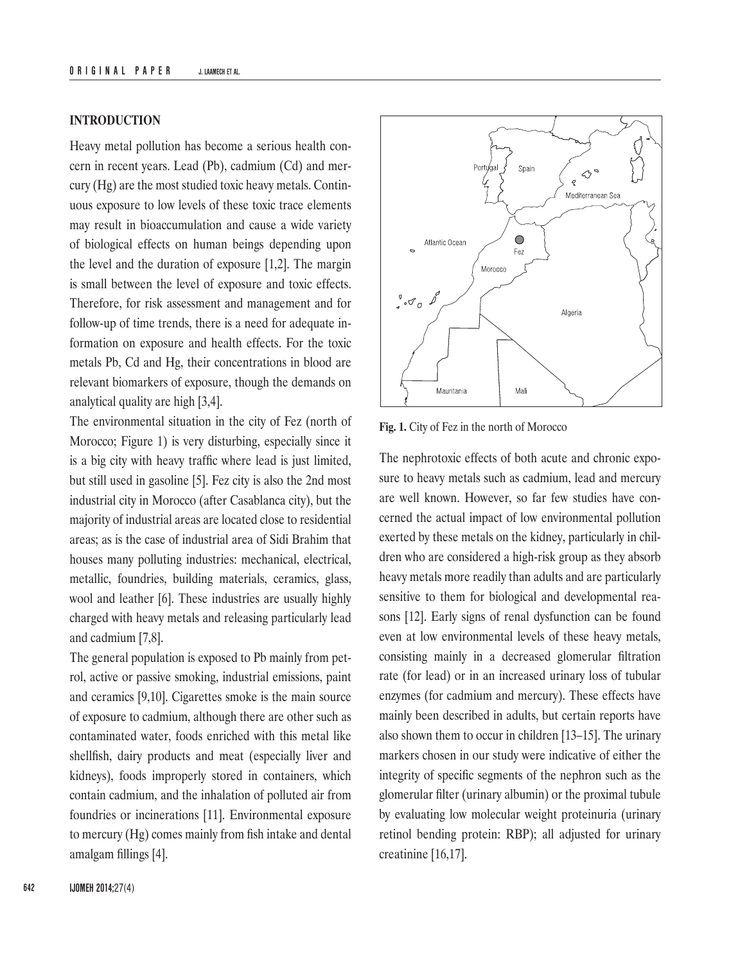# **INTRODUCTION**

Heavy metal pollution has become a serious health concern in recent years. Lead (Pb), cadmium (Cd) and mercury (Hg) are the most studied toxic heavy metals. Continuous exposure to low levels of these toxic trace elements may result in bioaccumulation and cause a wide variety of biological effects on human beings depending upon the level and the duration of exposure [1,2]. The margin is small between the level of exposure and toxic effects. Therefore, for risk assessment and management and for follow-up of time trends, there is a need for adequate information on exposure and health effects. For the toxic metals Pb, Cd and Hg, their concentrations in blood are relevant biomarkers of exposure, though the demands on analytical quality are high [3,4].

The environmental situation in the city of Fez (north of Morocco; Figure 1) is very disturbing, especially since it is a big city with heavy traffic where lead is just limited, but still used in gasoline [5]. Fez city is also the 2nd most industrial city in Morocco (after Casablanca city), but the majority of industrial areas are located close to residential areas; as is the case of industrial area of Sidi Brahim that houses many polluting industries: mechanical, electrical, metallic, foundries, building materials, ceramics, glass, wool and leather [6]. These industries are usually highly charged with heavy metals and releasing particularly lead and cadmium [7,8].

The general population is exposed to Pb mainly from petrol, active or passive smoking, industrial emissions, paint and ceramics [9,10]. Cigarettes smoke is the main source of exposure to cadmium, although there are other such as contaminated water, foods enriched with this metal like shellfish, dairy products and meat (especially liver and kidneys), foods improperly stored in containers, which contain cadmium, and the inhalation of polluted air from foundries or incinerations [11]. Environmental exposure to mercury (Hg) comes mainly from fish intake and dental amalgam fillings [4].



**Fig. 1.** City of Fez in the north of Morocco

The nephrotoxic effects of both acute and chronic exposure to heavy metals such as cadmium, lead and mercury are well known. However, so far few studies have concerned the actual impact of low environmental pollution exerted by these metals on the kidney, particularly in children who are considered a high-risk group as they absorb heavy metals more readily than adults and are particularly sensitive to them for biological and developmental reasons [12]. Early signs of renal dysfunction can be found even at low environmental levels of these heavy metals, consisting mainly in a decreased glomerular filtration rate (for lead) or in an increased urinary loss of tubular enzymes (for cadmium and mercury). These effects have mainly been described in adults, but certain reports have also shown them to occur in children [13–15]. The urinary markers chosen in our study were indicative of either the integrity of specific segments of the nephron such as the glomerular filter (urinary albumin) or the proximal tubule by evaluating low molecular weight proteinuria (urinary retinol bending protein: RBP); all adjusted for urinary creatinine [16,17].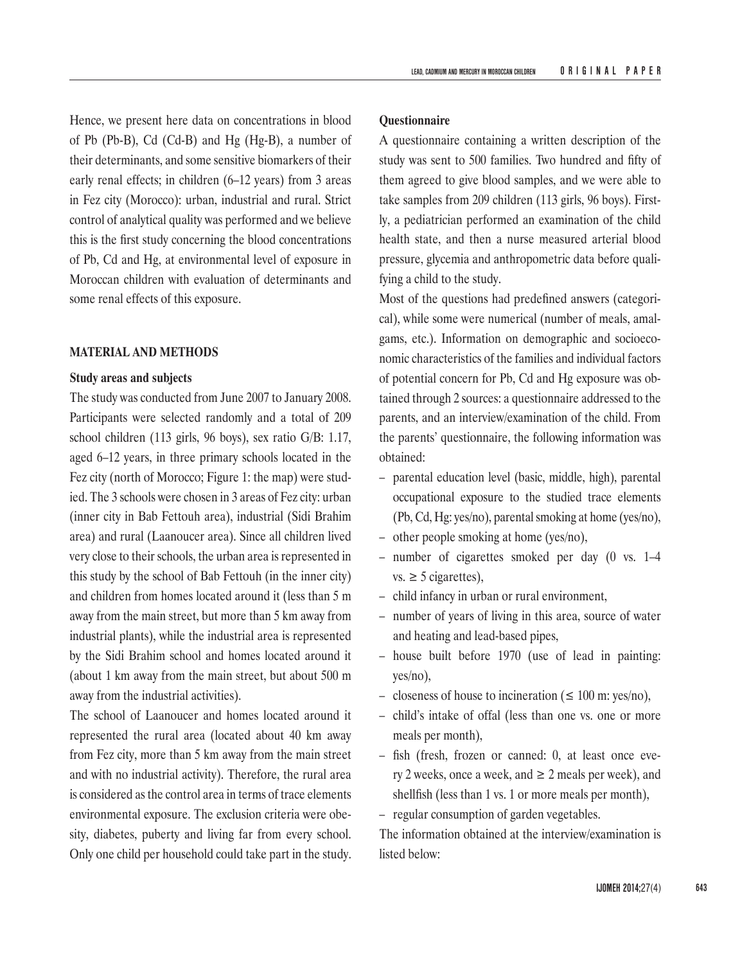Hence, we present here data on concentrations in blood of Pb (Pb-B), Cd (Cd-B) and Hg (Hg-B), a number of their determinants, and some sensitive biomarkers of their early renal effects; in children (6–12 years) from 3 areas in Fez city (Morocco): urban, industrial and rural. Strict control of analytical quality was performed and we believe this is the first study concerning the blood concentrations of Pb, Cd and Hg, at environmental level of exposure in Moroccan children with evaluation of determinants and some renal effects of this exposure.

#### **MATERIAL AND METHODS**

## **Study areas and subjects**

The study was conducted from June 2007 to January 2008. Participants were selected randomly and a total of 209 school children (113 girls, 96 boys), sex ratio G/B: 1.17, aged 6–12 years, in three primary schools located in the Fez city (north of Morocco; Figure 1: the map) were studied. The 3 schools were chosen in 3 areas of Fez city: urban (inner city in Bab Fettouh area), industrial (Sidi Brahim area) and rural (Laanoucer area). Since all children lived very close to their schools, the urban area is represented in this study by the school of Bab Fettouh (in the inner city) and children from homes located around it (less than 5 m away from the main street, but more than 5 km away from industrial plants), while the industrial area is represented by the Sidi Brahim school and homes located around it (about 1 km away from the main street, but about 500 m away from the industrial activities).

The school of Laanoucer and homes located around it represented the rural area (located about 40 km away from Fez city, more than 5 km away from the main street and with no industrial activity). Therefore, the rural area is considered as the control area in terms of trace elements environmental exposure. The exclusion criteria were obesity, diabetes, puberty and living far from every school. Only one child per household could take part in the study.

## **Questionnaire**

A questionnaire containing a written description of the study was sent to 500 families. Two hundred and fifty of them agreed to give blood samples, and we were able to take samples from 209 children (113 girls, 96 boys). Firstly, a pediatrician performed an examination of the child health state, and then a nurse measured arterial blood pressure, glycemia and anthropometric data before qualifying a child to the study.

Most of the questions had predefined answers (categorical), while some were numerical (number of meals, amalgams, etc.). Information on demographic and socioeconomic characteristics of the families and individual factors of potential concern for Pb, Cd and Hg exposure was obtained through 2 sources: a questionnaire addressed to the parents, and an interview/examination of the child. From the parents' questionnaire, the following information was obtained:

- parental education level (basic, middle, high), parental occupational exposure to the studied trace elements (Pb, Cd, Hg: yes/no), parental smoking at home (yes/no),
- other people smoking at home (yes/no),
- number of cigarettes smoked per day (0 vs. 1–4 vs.  $\geq$  5 cigarettes),
- child infancy in urban or rural environment,
- number of years of living in this area, source of water and heating and lead-based pipes,
- house built before 1970 (use of lead in painting: yes/no),
- closeness of house to incineration ( $\leq 100$  m: yes/no),
- child's intake of offal (less than one vs. one or more meals per month),
- fish (fresh, frozen or canned: 0, at least once every 2 weeks, once a week, and  $\geq 2$  meals per week), and shellfish (less than 1 vs. 1 or more meals per month),
- regular consumption of garden vegetables.

The information obtained at the interview/examination is listed below: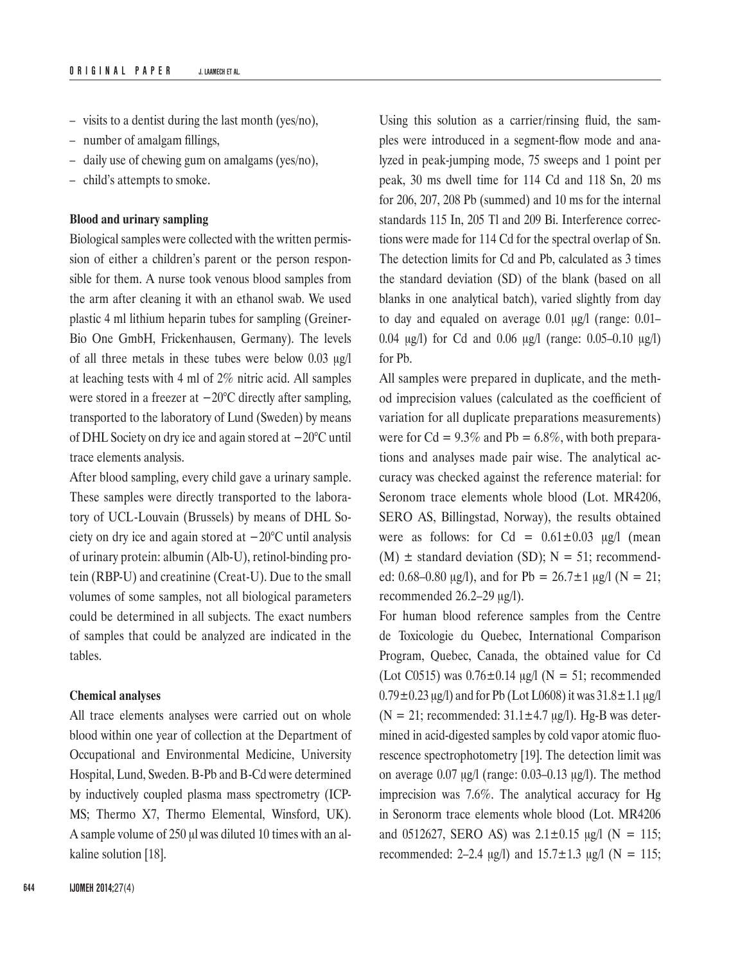- visits to a dentist during the last month (yes/no),
- number of amalgam fillings,
- daily use of chewing gum on amalgams (yes/no),
- child's attempts to smoke.

## **Blood and urinary sampling**

Biological samples were collected with the written permission of either a children's parent or the person responsible for them. A nurse took venous blood samples from the arm after cleaning it with an ethanol swab. We used plastic 4 ml lithium heparin tubes for sampling (Greiner-Bio One GmbH, Frickenhausen, Germany). The levels of all three metals in these tubes were below 0.03 μg/l at leaching tests with 4 ml of 2% nitric acid. All samples were stored in a freezer at −20°C directly after sampling, transported to the laboratory of Lund (Sweden) by means of DHL Society on dry ice and again stored at −20°C until trace elements analysis.

After blood sampling, every child gave a urinary sample. These samples were directly transported to the laboratory of UCL-Louvain (Brussels) by means of DHL Society on dry ice and again stored at −20°C until analysis of urinary protein: albumin (Alb-U), retinol-binding protein (RBP-U) and creatinine (Creat-U). Due to the small volumes of some samples, not all biological parameters could be determined in all subjects. The exact numbers of samples that could be analyzed are indicated in the tables.

#### **Chemical analyses**

All trace elements analyses were carried out on whole blood within one year of collection at the Department of Occupational and Environmental Medicine, University Hospital, Lund, Sweden. B-Pb and B-Cd were determined by inductively coupled plasma mass spectrometry (ICP-MS; Thermo X7, Thermo Elemental, Winsford, UK). A sample volume of 250 μl was diluted 10 times with an alkaline solution [18].

Using this solution as a carrier/rinsing fluid, the samples were introduced in a segment-flow mode and analyzed in peak-jumping mode, 75 sweeps and 1 point per peak, 30 ms dwell time for 114 Cd and 118 Sn, 20 ms for 206, 207, 208 Pb (summed) and 10 ms for the internal standards 115 In, 205 Tl and 209 Bi. Interference corrections were made for 114 Cd for the spectral overlap of Sn. The detection limits for Cd and Pb, calculated as 3 times the standard deviation (SD) of the blank (based on all blanks in one analytical batch), varied slightly from day to day and equaled on average 0.01 μg/l (range: 0.01– 0.04 μg/l) for Cd and 0.06 μg/l (range: 0.05–0.10 μg/l) for Pb.

All samples were prepared in duplicate, and the method imprecision values (calculated as the coefficient of variation for all duplicate preparations measurements) were for  $Cd = 9.3\%$  and  $Pb = 6.8\%$ , with both preparations and analyses made pair wise. The analytical accuracy was checked against the reference material: for Seronom trace elements whole blood (Lot. MR4206, SERO AS, Billingstad, Norway), the results obtained were as follows: for  $Cd = 0.61 \pm 0.03$  μg/l (mean  $(M)$  ± standard deviation (SD); N = 51; recommended: 0.68–0.80  $\mu$ g/l), and for Pb = 26.7 $\pm$ 1  $\mu$ g/l (N = 21; recommended 26.2–29 μg/l).

For human blood reference samples from the Centre de Toxicologie du Quebec, International Comparison Program, Quebec, Canada, the obtained value for Cd (Lot C0515) was  $0.76 \pm 0.14$  μg/l (N = 51; recommended  $0.79 \pm 0.23 \,\mu$ g/l) and for Pb (Lot L0608) it was  $31.8 \pm 1.1 \,\mu$ g/l ( $N = 21$ ; recommended:  $31.1 \pm 4.7$  μg/l). Hg-B was determined in acid-digested samples by cold vapor atomic fluorescence spectrophotometry [19]. The detection limit was on average 0.07 μg/l (range: 0.03–0.13 μg/l). The method imprecision was 7.6%. The analytical accuracy for Hg in Seronorm trace elements whole blood (Lot. MR4206 and 0512627, SERO AS) was  $2.1 \pm 0.15$  µg/l (N = 115; recommended: 2–2.4  $\mu$ g/l) and 15.7 $\pm$ 1.3  $\mu$ g/l (N = 115;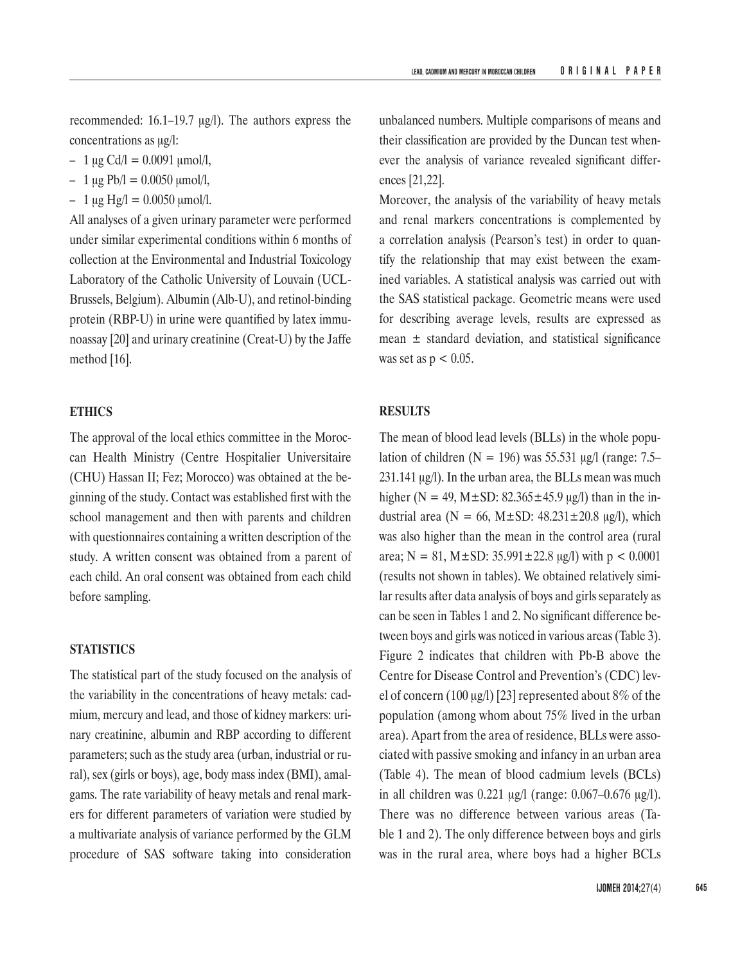recommended: 16.1–19.7 μg/l). The authors express the concentrations as μg/l:

- $-1 \mu g \text{Cd}/1 = 0.0091 \mu \text{mol}/1,$
- $-1 \mu$ g Pb/l = 0.0050 μmol/l,
- $-1 \mu$ g Hg/l = 0.0050 μmol/l.

All analyses of a given urinary parameter were performed under similar experimental conditions within 6 months of collection at the Environmental and Industrial Toxicology Laboratory of the Catholic University of Louvain (UCL-Brussels, Belgium). Albumin (Alb-U), and retinol-binding protein (RBP-U) in urine were quantified by latex immunoassay [20] and urinary creatinine (Creat-U) by the Jaffe method [16].

## **ETHICS**

The approval of the local ethics committee in the Moroccan Health Ministry (Centre Hospitalier Universitaire (CHU) Hassan II; Fez; Morocco) was obtained at the beginning of the study. Contact was established first with the school management and then with parents and children with questionnaires containing a written description of the study. A written consent was obtained from a parent of each child. An oral consent was obtained from each child before sampling.

## **STATISTICS**

The statistical part of the study focused on the analysis of the variability in the concentrations of heavy metals: cadmium, mercury and lead, and those of kidney markers: urinary creatinine, albumin and RBP according to different parameters; such as the study area (urban, industrial or rural), sex (girls or boys), age, body mass index (BMI), amalgams. The rate variability of heavy metals and renal markers for different parameters of variation were studied by a multivariate analysis of variance performed by the GLM procedure of SAS software taking into consideration

unbalanced numbers. Multiple comparisons of means and their classification are provided by the Duncan test whenever the analysis of variance revealed significant differences [21,22].

Moreover, the analysis of the variability of heavy metals and renal markers concentrations is complemented by a correlation analysis (Pearson's test) in order to quantify the relationship that may exist between the examined variables. A statistical analysis was carried out with the SAS statistical package. Geometric means were used for describing average levels, results are expressed as mean  $\pm$  standard deviation, and statistical significance was set as  $p < 0.05$ .

## **RESULTS**

The mean of blood lead levels (BLLs) in the whole population of children ( $N = 196$ ) was 55.531 μg/l (range: 7.5– 231.141 μg/l). In the urban area, the BLLs mean was much higher (N = 49, M $\pm$ SD: 82.365 $\pm$ 45.9 μg/l) than in the industrial area ( $N = 66$ ,  $M \pm SD$ : 48.231 $\pm$ 20.8 μg/l), which was also higher than the mean in the control area (rural area;  $N = 81$ ,  $M \pm SD$ : 35.991 $\pm$ 22.8 μg/l) with p < 0.0001 (results not shown in tables). We obtained relatively similar results after data analysis of boys and girls separately as can be seen in Tables 1 and 2. No significant difference between boys and girls was noticed in various areas (Table 3). Figure 2 indicates that children with Pb-B above the Centre for Disease Control and Prevention's (CDC) level of concern (100 μg/l) [23] represented about 8% of the population (among whom about 75% lived in the urban area). Apart from the area of residence, BLLs were associated with passive smoking and infancy in an urban area (Table 4). The mean of blood cadmium levels (BCLs) in all children was 0.221 μg/l (range: 0.067–0.676 μg/l). There was no difference between various areas (Table 1 and 2). The only difference between boys and girls was in the rural area, where boys had a higher BCLs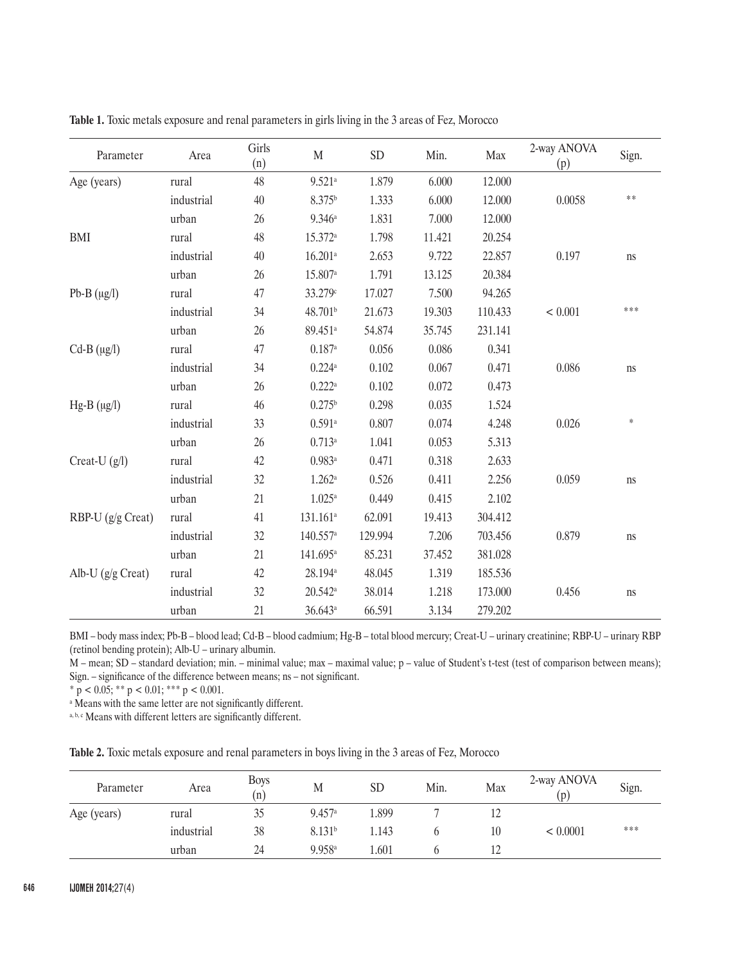| Parameter         | Area       | Girls<br>(n) | $\mathbf M$            | <b>SD</b> | Min.   | Max     | 2-way ANOVA<br>(p) | Sign.  |
|-------------------|------------|--------------|------------------------|-----------|--------|---------|--------------------|--------|
| Age (years)       | rural      | 48           | $9.521$ <sup>a</sup>   | 1.879     | 6.000  | 12.000  |                    |        |
|                   | industrial | 40           | 8.375 <sup>b</sup>     | 1.333     | 6.000  | 12.000  | 0.0058             | **     |
|                   | urban      | 26           | 9.346a                 | 1.831     | 7.000  | 12.000  |                    |        |
| <b>BMI</b>        | rural      | 48           | 15.372 <sup>a</sup>    | 1.798     | 11.421 | 20.254  |                    |        |
|                   | industrial | 40           | $16.201$ <sup>a</sup>  | 2.653     | 9.722  | 22.857  | 0.197              | ns     |
|                   | urban      | 26           | 15.807 <sup>a</sup>    | 1.791     | 13.125 | 20.384  |                    |        |
| Pb-B $(\mu g/l)$  | rural      | 47           | 33.279c                | 17.027    | 7.500  | 94.265  |                    |        |
|                   | industrial | 34           | 48.701 <sup>b</sup>    | 21.673    | 19.303 | 110.433 | < 0.001            | ***    |
|                   | urban      | 26           | 89.451 <sup>a</sup>    | 54.874    | 35.745 | 231.141 |                    |        |
| $Cd-B (\mu g/l)$  | rural      | 47           | $0.187$ <sup>a</sup>   | 0.056     | 0.086  | 0.341   |                    |        |
|                   | industrial | 34           | 0.224a                 | 0.102     | 0.067  | 0.471   | 0.086              | ns     |
|                   | urban      | 26           | $0.222$ <sup>a</sup>   | 0.102     | 0.072  | 0.473   |                    |        |
| $Hg-B (\mu g/l)$  | rural      | 46           | 0.275 <sup>b</sup>     | 0.298     | 0.035  | 1.524   |                    |        |
|                   | industrial | 33           | $0.591$ <sup>a</sup>   | 0.807     | 0.074  | 4.248   | 0.026              | $\ast$ |
|                   | urban      | 26           | 0.713a                 | 1.041     | 0.053  | 5.313   |                    |        |
| Creat-U $(g/l)$   | rural      | 42           | $0.983$ <sup>a</sup>   | 0.471     | 0.318  | 2.633   |                    |        |
|                   | industrial | 32           | $1.262^{\rm a}$        | 0.526     | 0.411  | 2.256   | 0.059              | ns     |
|                   | urban      | 21           | $1.025^{\mathrm{a}}$   | 0.449     | 0.415  | 2.102   |                    |        |
| RBP-U (g/g Creat) | rural      | 41           | $131.161$ <sup>a</sup> | 62.091    | 19.413 | 304.412 |                    |        |
|                   | industrial | 32           | $140.557$ <sup>a</sup> | 129.994   | 7.206  | 703.456 | 0.879              | ns     |
|                   | urban      | 21           | 141.695 <sup>a</sup>   | 85.231    | 37.452 | 381.028 |                    |        |
| Alb-U (g/g Creat) | rural      | 42           | 28.194 <sup>a</sup>    | 48.045    | 1.319  | 185.536 |                    |        |
|                   | industrial | 32           | $20.542^a$             | 38.014    | 1.218  | 173.000 | 0.456              | ns     |
|                   | urban      | 21           | 36.643a                | 66.591    | 3.134  | 279.202 |                    |        |

**Table 1.** Toxic metals exposure and renal parameters in girls living in the 3 areas of Fez, Morocco

BMI – body mass index; Pb-B – blood lead; Cd-B – blood cadmium; Hg-B – total blood mercury; Creat-U – urinary creatinine; RBP-U – urinary RBP (retinol bending protein); Alb-U – urinary albumin.

M – mean; SD – standard deviation; min. – minimal value; max – maximal value; p – value of Student's t-test (test of comparison between means); Sign. – significance of the difference between means; ns – not significant.

 $* \, p \, < 0.05; ** \, p \, < 0.01; ** \, p \, < 0.001.$ 

a Means with the same letter are not significantly different.

a, b, c Means with different letters are significantly different.

**Table 2.** Toxic metals exposure and renal parameters in boys living in the 3 areas of Fez, Morocco

| Parameter   | Area       | <b>Boys</b><br>(n) | M                  | <b>SD</b> | Min. | Max            | 2-way ANOVA<br>(p) | Sign. |
|-------------|------------|--------------------|--------------------|-----------|------|----------------|--------------------|-------|
| Age (years) | rural      | 35                 | 9.457a             | .899      |      | $\overline{1}$ |                    |       |
|             | industrial | 38                 | 8.131 <sup>b</sup> | .143      |      | 10             | < 0.0001           | ***   |
|             | urban      | 24                 | 9.958a             | .601      |      | 12             |                    |       |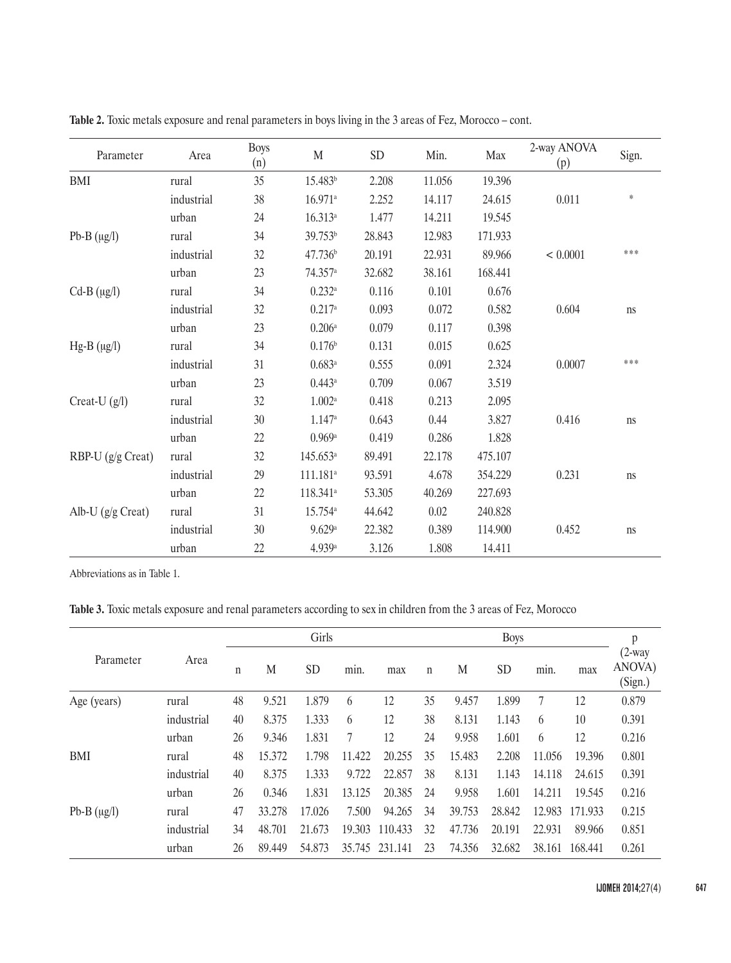| Parameter           | Area       | <b>Boys</b><br>(n) | $\mathbf M$           | SD     | Min.   | Max     | 2-way ANOVA<br>(p) | Sign.  |
|---------------------|------------|--------------------|-----------------------|--------|--------|---------|--------------------|--------|
| <b>BMI</b>          | rural      | 35                 | 15.483 <sup>b</sup>   | 2.208  | 11.056 | 19.396  |                    |        |
|                     | industrial | 38                 | $16.971$ <sup>a</sup> | 2.252  | 14.117 | 24.615  | 0.011              | $\ast$ |
|                     | urban      | 24                 | 16.313a               | 1.477  | 14.211 | 19.545  |                    |        |
| Pb-B $(\mu g/l)$    | rural      | 34                 | 39.753 <sup>b</sup>   | 28.843 | 12.983 | 171.933 |                    |        |
|                     | industrial | 32                 | 47.736 <sup>b</sup>   | 20.191 | 22.931 | 89.966  | < 0.0001           | ***    |
|                     | urban      | 23                 | $74.357$ <sup>a</sup> | 32.682 | 38.161 | 168.441 |                    |        |
| $Cd-B$ ( $\mu$ g/l) | rural      | 34                 | $0.232^{\rm a}$       | 0.116  | 0.101  | 0.676   |                    |        |
|                     | industrial | 32                 | 0.217a                | 0.093  | 0.072  | 0.582   | 0.604              | ns     |
|                     | urban      | 23                 | $0.206$ <sup>a</sup>  | 0.079  | 0.117  | 0.398   |                    |        |
| $Hg-B (\mu g/l)$    | rural      | 34                 | 0.176 <sup>b</sup>    | 0.131  | 0.015  | 0.625   |                    |        |
|                     | industrial | 31                 | 0.683a                | 0.555  | 0.091  | 2.324   | 0.0007             | ***    |
|                     | urban      | 23                 | $0.443^{\rm a}$       | 0.709  | 0.067  | 3.519   |                    |        |
| Creat-U $(g/l)$     | rural      | 32                 | 1.002a                | 0.418  | 0.213  | 2.095   |                    |        |
|                     | industrial | 30                 | 1.147a                | 0.643  | 0.44   | 3.827   | 0.416              | ns     |
|                     | urban      | 22                 | 0.969a                | 0.419  | 0.286  | 1.828   |                    |        |
| RBP-U (g/g Creat)   | rural      | 32                 | 145.653a              | 89.491 | 22.178 | 475.107 |                    |        |
|                     | industrial | 29                 | $111.181^a$           | 93.591 | 4.678  | 354.229 | 0.231              | ns     |
|                     | urban      | 22                 | 118.341 <sup>a</sup>  | 53.305 | 40.269 | 227.693 |                    |        |
| Alb-U $(g/g$ Creat) | rural      | 31                 | 15.754 <sup>a</sup>   | 44.642 | 0.02   | 240.828 |                    |        |
|                     | industrial | 30                 | 9.629a                | 22.382 | 0.389  | 114.900 | 0.452              | ns     |
|                     | urban      | 22                 | 4.939 <sup>a</sup>    | 3.126  | 1.808  | 14.411  |                    |        |

**Table 2.** Toxic metals exposure and renal parameters in boys living in the 3 areas of Fez, Morocco – cont.

Abbreviations as in Table 1.

**Table 3.** Toxic metals exposure and renal parameters according to sex in children from the 3 areas of Fez, Morocco

|                  |            |    | Girls  |           |        |         |             |        | <b>Boys</b> |        |         |                                |  |
|------------------|------------|----|--------|-----------|--------|---------|-------------|--------|-------------|--------|---------|--------------------------------|--|
| Parameter        | Area       | n  | M      | <b>SD</b> | min.   | max     | $\mathbf n$ | M      | <b>SD</b>   | min.   | max     | $(2$ -way<br>ANOVA)<br>(Sign.) |  |
| Age (years)      | rural      | 48 | 9.521  | 1.879     | 6      | 12      | 35          | 9.457  | 1.899       | 7      | 12      | 0.879                          |  |
|                  | industrial | 40 | 8.375  | 1.333     | 6      | 12      | 38          | 8.131  | 1.143       | 6      | 10      | 0.391                          |  |
|                  | urban      | 26 | 9.346  | 1.831     | 7      | 12      | 24          | 9.958  | 1.601       | 6      | 12      | 0.216                          |  |
| <b>BMI</b>       | rural      | 48 | 15.372 | 1.798     | 11.422 | 20.255  | 35          | 15.483 | 2.208       | 11.056 | 19.396  | 0.801                          |  |
|                  | industrial | 40 | 8.375  | 1.333     | 9.722  | 22.857  | 38          | 8.131  | 1.143       | 14.118 | 24.615  | 0.391                          |  |
|                  | urban      | 26 | 0.346  | 1.831     | 13.125 | 20.385  | 24          | 9.958  | 1.601       | 14.211 | 19.545  | 0.216                          |  |
| Pb-B $(\mu g/l)$ | rural      | 47 | 33.278 | 17.026    | 7.500  | 94.265  | 34          | 39.753 | 28.842      | 12.983 | 171.933 | 0.215                          |  |
|                  | industrial | 34 | 48.701 | 21.673    | 19.303 | 110.433 | 32          | 47.736 | 20.191      | 22.931 | 89.966  | 0.851                          |  |
|                  | urban      | 26 | 89.449 | 54.873    | 35.745 | 231.141 | 23          | 74.356 | 32.682      | 38.161 | 168.441 | 0.261                          |  |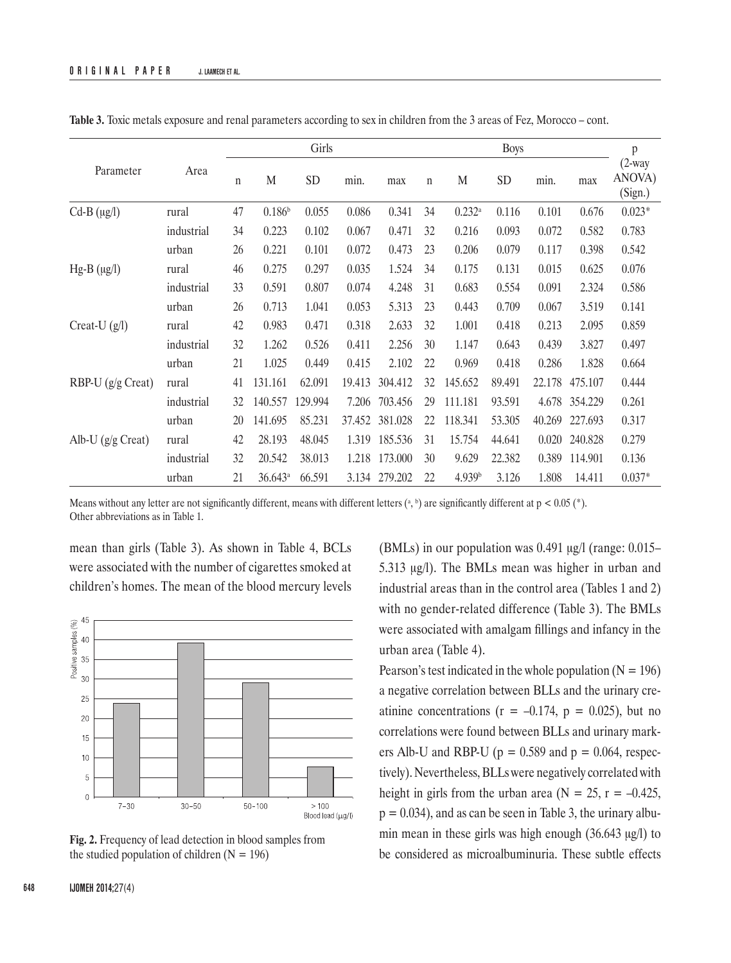|                   |            |             | Girls              |           |        |         |    | <b>Boys</b>        |        |        |         |                                |
|-------------------|------------|-------------|--------------------|-----------|--------|---------|----|--------------------|--------|--------|---------|--------------------------------|
| Parameter         | Area       | $\mathbf n$ | M                  | <b>SD</b> | min.   | max     | n  | M                  | SD     | min.   | max     | $(2$ -way<br>ANOVA)<br>(Sign.) |
| $Cd-B (\mu g/l)$  | rural      | 47          | 0.186 <sup>b</sup> | 0.055     | 0.086  | 0.341   | 34 | $0.232^{\rm a}$    | 0.116  | 0.101  | 0.676   | $0.023*$                       |
|                   | industrial | 34          | 0.223              | 0.102     | 0.067  | 0.471   | 32 | 0.216              | 0.093  | 0.072  | 0.582   | 0.783                          |
|                   | urban      | 26          | 0.221              | 0.101     | 0.072  | 0.473   | 23 | 0.206              | 0.079  | 0.117  | 0.398   | 0.542                          |
| $Hg-B (\mu g/l)$  | rural      | 46          | 0.275              | 0.297     | 0.035  | 1.524   | 34 | 0.175              | 0.131  | 0.015  | 0.625   | 0.076                          |
|                   | industrial | 33          | 0.591              | 0.807     | 0.074  | 4.248   | 31 | 0.683              | 0.554  | 0.091  | 2.324   | 0.586                          |
|                   | urban      | 26          | 0.713              | 1.041     | 0.053  | 5.313   | 23 | 0.443              | 0.709  | 0.067  | 3.519   | 0.141                          |
| Creat-U $(g/l)$   | rural      | 42          | 0.983              | 0.471     | 0.318  | 2.633   | 32 | 1.001              | 0.418  | 0.213  | 2.095   | 0.859                          |
|                   | industrial | 32          | 1.262              | 0.526     | 0.411  | 2.256   | 30 | 1.147              | 0.643  | 0.439  | 3.827   | 0.497                          |
|                   | urban      | 21          | 1.025              | 0.449     | 0.415  | 2.102   | 22 | 0.969              | 0.418  | 0.286  | 1.828   | 0.664                          |
| RBP-U (g/g Creat) | rural      | 41          | 131.161            | 62.091    | 19.413 | 304.412 | 32 | 145.652            | 89.491 | 22.178 | 475.107 | 0.444                          |
|                   | industrial | 32          | 140.557            | 129.994   | 7.206  | 703.456 | 29 | 111.181            | 93.591 | 4.678  | 354.229 | 0.261                          |
|                   | urban      | 20          | 141.695            | 85.231    | 37.452 | 381.028 | 22 | 118.341            | 53.305 | 40.269 | 227.693 | 0.317                          |
| Alb-U (g/g Creat) | rural      | 42          | 28.193             | 48.045    | 1.319  | 185.536 | 31 | 15.754             | 44.641 | 0.020  | 240.828 | 0.279                          |
|                   | industrial | 32          | 20.542             | 38.013    | 1.218  | 173.000 | 30 | 9.629              | 22.382 | 0.389  | 114.901 | 0.136                          |
|                   | urban      | 21          | 36.643a            | 66.591    | 3.134  | 279.202 | 22 | 4.939 <sup>b</sup> | 3.126  | 1.808  | 14.411  | $0.037*$                       |

**Table 3.** Toxic metals exposure and renal parameters according to sex in children from the 3 areas of Fez, Morocco – cont.

Means without any letter are not significantly different, means with different letters  $({}^a,{}^b)$  are significantly different at  $p < 0.05$  ( ${}^*$ ). Other abbreviations as in Table 1.

mean than girls (Table 3). As shown in Table 4, BCLs were associated with the number of cigarettes smoked at children's homes. The mean of the blood mercury levels



**Fig. 2.** Frequency of lead detection in blood samples from the studied population of children  $(N = 196)$ 

(BMLs) in our population was 0.491 μg/l (range: 0.015– 5.313 μg/l). The BMLs mean was higher in urban and industrial areas than in the control area (Tables 1 and 2) with no gender-related difference (Table 3). The BMLs were associated with amalgam fillings and infancy in the urban area (Table 4).

Pearson's test indicated in the whole population ( $N = 196$ ) a negative correlation between BLLs and the urinary creatinine concentrations ( $r = -0.174$ ,  $p = 0.025$ ), but no correlations were found between BLLs and urinary markers Alb-U and RBP-U ( $p = 0.589$  and  $p = 0.064$ , respectively). Nevertheless, BLLs were negatively correlated with height in girls from the urban area ( $N = 25$ ,  $r = -0.425$ ,  $p = 0.034$ , and as can be seen in Table 3, the urinary albumin mean in these girls was high enough (36.643 μg/l) to be considered as microalbuminuria. These subtle effects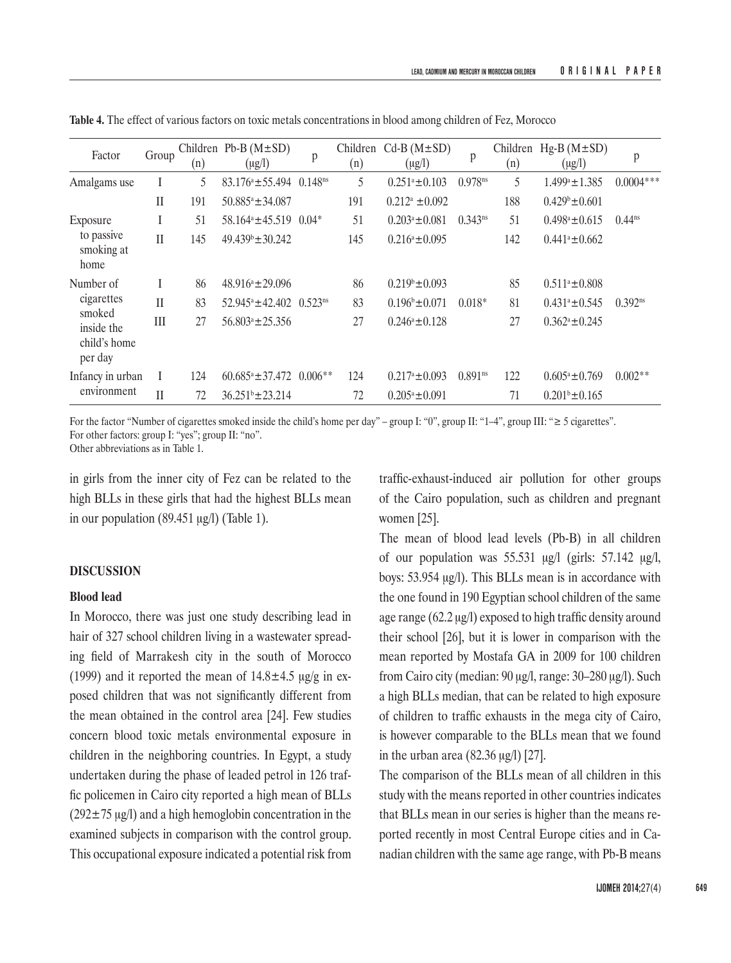| Factor                                          | Group        | (n) | Children Pb-B $(M \pm SD)$<br>$(\mu g/l)$ | p                   | Children<br>(n) | $Cd-B(M\pm SD)$<br>$(\mu g/l)$ | p                     | Children<br>(n) | $Hg-B (M \pm SD)$<br>$(\mu g/l)$ | p            |
|-------------------------------------------------|--------------|-----|-------------------------------------------|---------------------|-----------------|--------------------------------|-----------------------|-----------------|----------------------------------|--------------|
| Amalgams use                                    |              | 5   | $83.176^a \pm 55.494$                     | 0.148 <sup>ns</sup> | 5               | $0.251^a \pm 0.103$            | $0.978^{ns}$          | 5               | $1.499^a \pm 1.385$              | $0.0004***$  |
|                                                 | $\mathbf{I}$ | 191 | $50.885^a \pm 34.087$                     |                     | 191             | $0.212^a \pm 0.092$            |                       | 188             | $0.429^{\circ} \pm 0.601$        |              |
| Exposure                                        | I            | 51  | 58.164 <sup>a</sup> ±45.519               | $0.04*$             | 51              | $0.203^a \pm 0.081$            | $0.343^{ns}$          | 51              | $0.498^a \pm 0.615$              | $0.44^{ns}$  |
| to passive<br>smoking at<br>home                | $\mathbf{I}$ | 145 | 49.439 <sup>b</sup> ±30.242               |                     | 145             | $0.216^a \pm 0.095$            |                       | 142             | $0.441^a \pm 0.662$              |              |
| Number of                                       |              | 86  | $48.916^a \pm 29.096$                     |                     | 86              | $0.219^{\circ} \pm 0.093$      |                       | 85              | $0.511^a \pm 0.808$              |              |
| cigarettes                                      | $\mathbf{I}$ | 83  | $52.945^{\circ} \pm 42.402$               | $0.523^{ns}$        | 83              | $0.196^b \pm 0.071$            | $0.018*$              | 81              | $0.431^a \pm 0.545$              | $0.392^{ns}$ |
| smoked<br>inside the<br>child's home<br>per day | III          | 27  | $56.803^{\circ} + 25.356$                 |                     | 27              | $0.246^a + 0.128$              |                       | 27              | $0.362^a \pm 0.245$              |              |
| Infancy in urban                                |              | 124 | $60.685a \pm 37.472$                      | $0.006**$           | 124             | $0.217^a \pm 0.093$            | $0.891$ <sup>ns</sup> | 122             | $0.605^a \pm 0.769$              | $0.002**$    |
| environment                                     | $\mathbf{I}$ | 72  | $36.251^b \pm 23.214$                     |                     | 72              | $0.205^a \pm 0.091$            |                       | 71              | $0.201b \pm 0.165$               |              |

**Table 4.** The effect of various factors on toxic metals concentrations in blood among children of Fez, Morocco

For the factor "Number of cigarettes smoked inside the child's home per day" – group I: "0", group II: "1–4", group III: "≥ 5 cigarettes". For other factors: group I: "yes"; group II: "no".

Other abbreviations as in Table 1.

in girls from the inner city of Fez can be related to the high BLLs in these girls that had the highest BLLs mean in our population (89.451 μg/l) (Table 1).

#### **DISCUSSION**

## **Blood lead**

In Morocco, there was just one study describing lead in hair of 327 school children living in a wastewater spreading field of Marrakesh city in the south of Morocco (1999) and it reported the mean of  $14.8 \pm 4.5$  μg/g in exposed children that was not significantly different from the mean obtained in the control area [24]. Few studies concern blood toxic metals environmental exposure in children in the neighboring countries. In Egypt, a study undertaken during the phase of leaded petrol in 126 traffic policemen in Cairo city reported a high mean of BLLs  $(292 \pm 75 \text{ µg/l})$  and a high hemoglobin concentration in the examined subjects in comparison with the control group. This occupational exposure indicated a potential risk from

traffic-exhaust-induced air pollution for other groups of the Cairo population, such as children and pregnant women [25].

The mean of blood lead levels (Pb-B) in all children of our population was  $55.531 \mu g/l$  (girls:  $57.142 \mu g/l$ , boys: 53.954 μg/l). This BLLs mean is in accordance with the one found in 190 Egyptian school children of the same age range (62.2 μg/l) exposed to high traffic density around their school [26], but it is lower in comparison with the mean reported by Mostafa GA in 2009 for 100 children from Cairo city (median: 90 μg/l, range: 30–280 μg/l). Such a high BLLs median, that can be related to high exposure of children to traffic exhausts in the mega city of Cairo, is however comparable to the BLLs mean that we found in the urban area (82.36 μg/l) [27].

The comparison of the BLLs mean of all children in this study with the means reported in other countries indicates that BLLs mean in our series is higher than the means reported recently in most Central Europe cities and in Canadian children with the same age range, with Pb-B means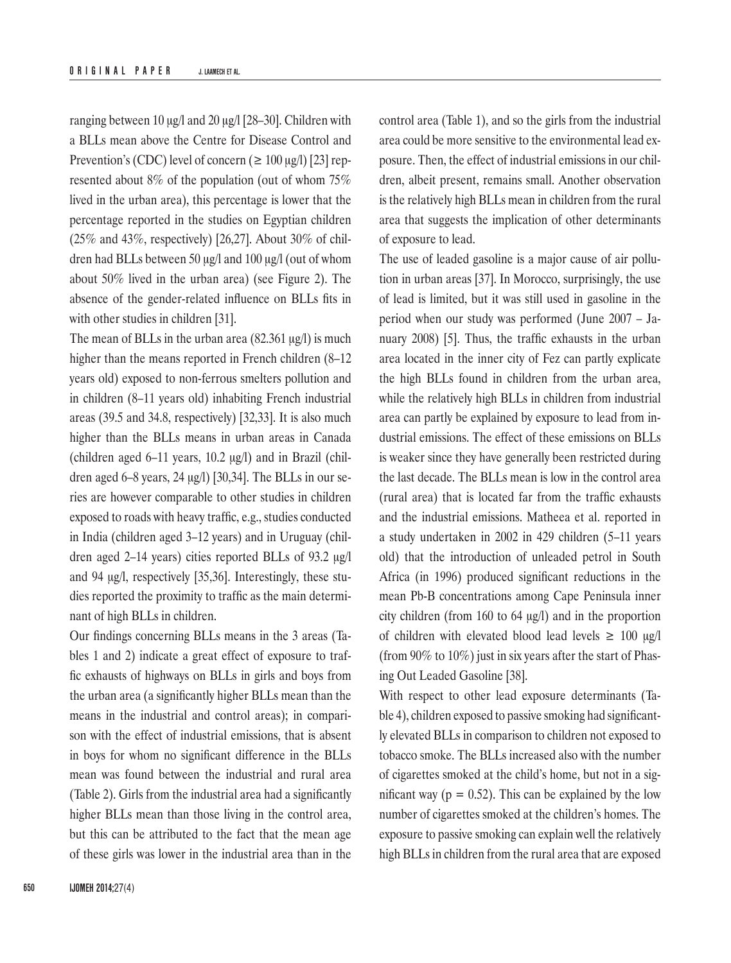ranging between 10 μg/l and 20 μg/l [28–30]. Children with a BLLs mean above the Centre for Disease Control and Prevention's (CDC) level of concern ( $\geq 100 \mu g/l$ ) [23] represented about 8% of the population (out of whom 75% lived in the urban area), this percentage is lower that the percentage reported in the studies on Egyptian children (25% and 43%, respectively) [26,27]. About 30% of children had BLLs between 50 μg/l and 100 μg/l (out of whom about 50% lived in the urban area) (see Figure 2). The absence of the gender-related influence on BLLs fits in with other studies in children [31].

The mean of BLLs in the urban area (82.361 μg/l) is much higher than the means reported in French children (8–12) years old) exposed to non-ferrous smelters pollution and in children (8–11 years old) inhabiting French industrial areas (39.5 and 34.8, respectively) [32,33]. It is also much higher than the BLLs means in urban areas in Canada (children aged 6–11 years, 10.2 μg/l) and in Brazil (children aged 6–8 years, 24 μg/l) [30,34]. The BLLs in our series are however comparable to other studies in children exposed to roads with heavy traffic, e.g., studies conducted in India (children aged 3–12 years) and in Uruguay (children aged 2–14 years) cities reported BLLs of 93.2 μg/l and 94 μg/l, respectively [35,36]. Interestingly, these studies reported the proximity to traffic as the main determinant of high BLLs in children.

Our findings concerning BLLs means in the 3 areas (Tables 1 and 2) indicate a great effect of exposure to traffic exhausts of highways on BLLs in girls and boys from the urban area (a significantly higher BLLs mean than the means in the industrial and control areas); in comparison with the effect of industrial emissions, that is absent in boys for whom no significant difference in the BLLs mean was found between the industrial and rural area (Table 2). Girls from the industrial area had a significantly higher BLLs mean than those living in the control area, but this can be attributed to the fact that the mean age of these girls was lower in the industrial area than in the control area (Table 1), and so the girls from the industrial area could be more sensitive to the environmental lead exposure. Then, the effect of industrial emissions in our children, albeit present, remains small. Another observation is the relatively high BLLs mean in children from the rural area that suggests the implication of other determinants of exposure to lead.

The use of leaded gasoline is a major cause of air pollution in urban areas [37]. In Morocco, surprisingly, the use of lead is limited, but it was still used in gasoline in the period when our study was performed (June 2007 – January 2008) [5]. Thus, the traffic exhausts in the urban area located in the inner city of Fez can partly explicate the high BLLs found in children from the urban area, while the relatively high BLLs in children from industrial area can partly be explained by exposure to lead from industrial emissions. The effect of these emissions on BLLs is weaker since they have generally been restricted during the last decade. The BLLs mean is low in the control area (rural area) that is located far from the traffic exhausts and the industrial emissions. [Mathee](http://www.sciencedirect.com/science/article/pii/S0013935105001088)[a](http://www.sciencedirect.com/science/article/pii/S0013935105001088#aff1) et al. reported in a study undertaken in 2002 in 429 children (5–11 years old) that the introduction of unleaded petrol in South Africa (in 1996) produced significant reductions in the mean Pb-B concentrations among Cape Peninsula inner city children (from 160 to 64 μg/l) and in the proportion of children with elevated blood lead levels  $\geq 100 \mu g/l$ (from 90% to 10%) just in six years after the start of Phasing Out Leaded Gasoline [38].

With respect to other lead exposure determinants (Table 4), children exposed to passive smoking had significantly elevated BLLs in comparison to children not exposed to tobacco smoke. The BLLs increased also with the number of cigarettes smoked at the child's home, but not in a significant way ( $p = 0.52$ ). This can be explained by the low number of cigarettes smoked at the children's homes. The exposure to passive smoking can explain well the relatively high BLLs in children from the rural area that are exposed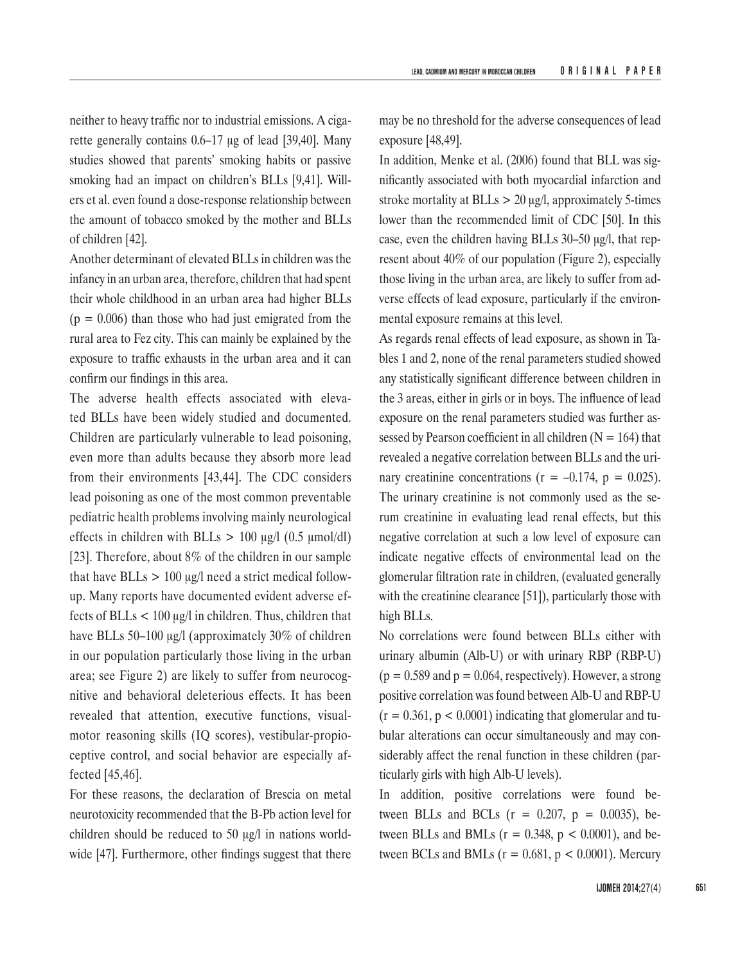neither to heavy traffic nor to industrial emissions. A cigarette generally contains 0.6–17 μg of lead [39,40]. Many studies showed that parents' smoking habits or passive smoking had an impact on children's BLLs [9,41]. Willers et al. even found a dose-response relationship between the amount of tobacco smoked by the mother and BLLs of children [42].

Another determinant of elevated BLLs in children was the infancy in an urban area, therefore, children that had spent their whole childhood in an urban area had higher BLLs  $(p = 0.006)$  than those who had just emigrated from the rural area to Fez city. This can mainly be explained by the exposure to traffic exhausts in the urban area and it can confirm our findings in this area.

The adverse health effects associated with elevated BLLs have been widely studied and documented. Children are particularly vulnerable to lead poisoning, even more than adults because they absorb more lead from their environments [43,44]. The CDC considers lead poisoning as one of the most common preventable pediatric health problems involving mainly neurological effects in children with BLLs  $> 100 \text{ µg/l} (0.5 \text{ µmol/dl})$ [23]. Therefore, about 8% of the children in our sample that have  $BLLs > 100 \mu g/l$  need a strict medical followup. Many reports have documented evident adverse effects of BLLs < 100 μg/l in children. Thus, children that have BLLs 50–100 μg/l (approximately 30% of children in our population particularly those living in the urban area; see Figure 2) are likely to suffer from neurocognitive and behavioral deleterious effects. It has been revealed that attention, executive functions, visualmotor reasoning skills (IQ scores), vestibular-propioceptive control, and social behavior are especially affected [45,46].

For these reasons, the declaration of Brescia on metal neurotoxicity recommended that the B-Pb action level for children should be reduced to 50 μg/l in nations worldwide [47]. Furthermore, other findings suggest that there

may be no threshold for the adverse consequences of lead exposure [48,49].

In addition, Menke et al. (2006) found that BLL was significantly associated with both myocardial infarction and stroke mortality at  $BLLs > 20 \mu g/l$ , approximately 5-times lower than the recommended limit of CDC [50]. In this case, even the children having BLLs 30–50 μg/l, that represent about 40% of our population (Figure 2), especially those living in the urban area, are likely to suffer from adverse effects of lead exposure, particularly if the environmental exposure remains at this level.

As regards renal effects of lead exposure, as shown in Tables 1 and 2, none of the renal parameters studied showed any statistically significant difference between children in the 3 areas, either in girls or in boys. The influence of lead exposure on the renal parameters studied was further assessed by Pearson coefficient in all children  $(N = 164)$  that revealed a negative correlation between BLLs and the urinary creatinine concentrations ( $r = -0.174$ ,  $p = 0.025$ ). The urinary creatinine is not commonly used as the serum creatinine in evaluating lead renal effects, but this negative correlation at such a low level of exposure can indicate negative effects of environmental lead on the glomerular filtration rate in children, (evaluated generally with the creatinine clearance [51]), particularly those with high BLLs.

No correlations were found between BLLs either with urinary albumin (Alb-U) or with urinary RBP (RBP-U)  $(p = 0.589$  and  $p = 0.064$ , respectively). However, a strong positive correlation was found between Alb-U and RBP-U  $(r = 0.361, p < 0.0001)$  indicating that glomerular and tubular alterations can occur simultaneously and may considerably affect the renal function in these children (particularly girls with high Alb-U levels).

In addition, positive correlations were found between BLLs and BCLs  $(r = 0.207, p = 0.0035)$ , between BLLs and BMLs ( $r = 0.348$ ,  $p < 0.0001$ ), and between BCLs and BMLs ( $r = 0.681$ ,  $p < 0.0001$ ). Mercury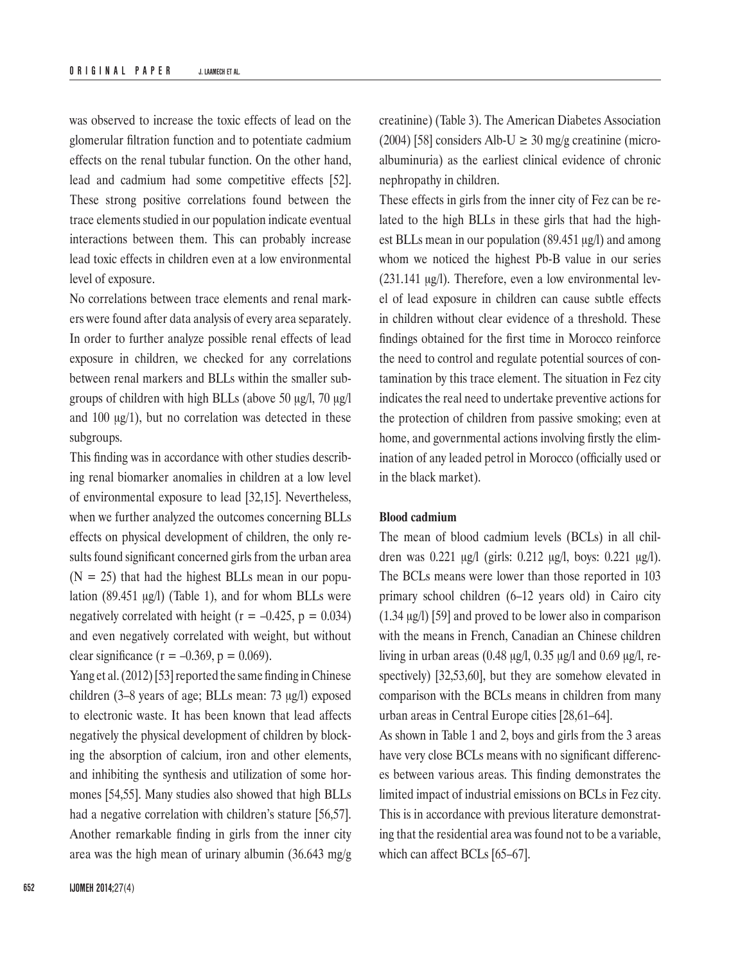was observed to increase the toxic effects of lead on the glomerular filtration function and to potentiate cadmium effects on the renal tubular function. On the other hand, lead and cadmium had some competitive effects [52]. These strong positive correlations found between the trace elements studied in our population indicate eventual interactions between them. This can probably increase lead toxic effects in children even at a low environmental level of exposure.

No correlations between trace elements and renal markers were found after data analysis of every area separately. In order to further analyze possible renal effects of lead exposure in children, we checked for any correlations between renal markers and BLLs within the smaller subgroups of children with high BLLs (above 50 μg/l, 70 μg/l and 100 μg/1), but no correlation was detected in these subgroups.

This finding was in accordance with other studies describing renal biomarker anomalies in children at a low level of environmental exposure to lead [32,15]. Nevertheless, when we further analyzed the outcomes concerning BLLs effects on physical development of children, the only results found significant concerned girls from the urban area  $(N = 25)$  that had the highest BLLs mean in our population (89.451 μg/l) (Table 1), and for whom BLLs were negatively correlated with height ( $r = -0.425$ ,  $p = 0.034$ ) and even negatively correlated with weight, but without clear significance ( $r = -0.369$ ,  $p = 0.069$ ).

Yang et al. (2012) [53] reported the same finding in Chinese children (3–8 years of age; BLLs mean: 73 μg/l) exposed to electronic waste. It has been known that lead affects negatively the physical development of children by blocking the absorption of calcium, iron and other elements, and inhibiting the synthesis and utilization of some hormones [54,55]. Many studies also showed that high BLLs had a negative correlation with children's stature [56,57]. Another remarkable finding in girls from the inner city area was the high mean of urinary albumin (36.643 mg/g creatinine) (Table 3). The [American Diabetes Association](http://www.ncbi.nlm.nih.gov/pmc/articles/PMC2265055/#b2-ehp0116-000394)  [\(2004](http://www.ncbi.nlm.nih.gov/pmc/articles/PMC2265055/#b2-ehp0116-000394)) [58] considers Alb-U  $\geq$  30 mg/g creatinine (microalbuminuria) as the earliest clinical evidence of chronic nephropathy in children.

These effects in girls from the inner city of Fez can be related to the high BLLs in these girls that had the highest BLLs mean in our population (89.451 μg/l) and among whom we noticed the highest Pb-B value in our series (231.141 μg/l). Therefore, even a low environmental level of lead exposure in children can cause subtle effects in children without clear evidence of a threshold. These findings obtained for the first time in Morocco reinforce the need to control and regulate potential sources of contamination by this trace element. The situation in Fez city indicates the real need to undertake preventive actions for the protection of children from passive smoking; even at home, and governmental actions involving firstly the elimination of any leaded petrol in Morocco (officially used or in the black market).

#### **Blood cadmium**

The mean of blood cadmium levels (BCLs) in all children was 0.221 μg/l (girls: 0.212 μg/l, boys: 0.221 μg/l). The BCLs means were lower than those reported in 103 primary school children (6–12 years old) in Cairo city (1.34 μg/l) [59] and proved to be lower also in comparison with the means in French, Canadian an Chinese children living in urban areas (0.48 μg/l, 0.35 μg/l and 0.69 μg/l, respectively) [32,53,60], but they are somehow elevated in comparison with the BCLs means in children from many urban areas in Central Europe cities [28,61–64].

As shown in Table 1 and 2, boys and girls from the 3 areas have very close BCLs means with no significant differences between various areas. This finding demonstrates the limited impact of industrial emissions on BCLs in Fez city. This is in accordance with previous literature demonstrating that the residential area was found not to be a variable, which can affect BCLs [65–67].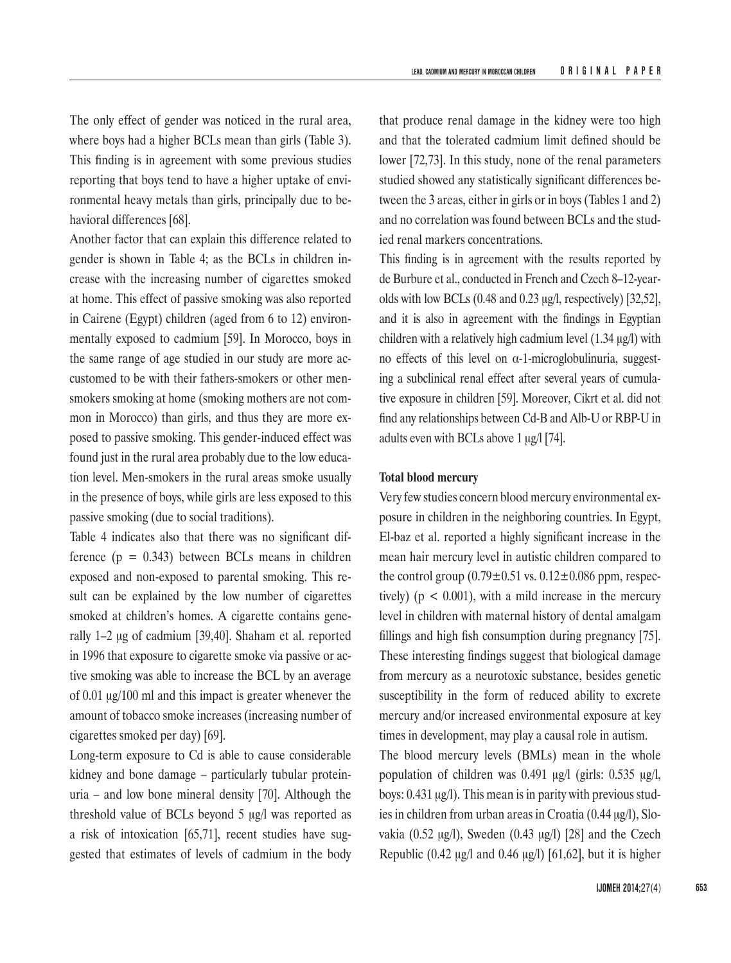The only effect of gender was noticed in the rural area, where boys had a higher BCLs mean than girls (Table 3). This finding is in agreement with some previous studies reporting that boys tend to have a higher uptake of environmental heavy metals than girls, principally due to behavioral differences [68].

Another factor that can explain this difference related to gender is shown in Table 4; as the BCLs in children increase with the increasing number of cigarettes smoked at home. This effect of passive smoking was also reported in Cairene (Egypt) children (aged from 6 to 12) environmentally exposed to cadmium [59]. In Morocco, boys in the same range of age studied in our study are more accustomed to be with their fathers-smokers or other mensmokers smoking at home (smoking mothers are not common in Morocco) than girls, and thus they are more exposed to passive smoking. This gender-induced effect was found just in the rural area probably due to the low education level. Men-smokers in the rural areas smoke usually in the presence of boys, while girls are less exposed to this passive smoking (due to social traditions).

Table 4 indicates also that there was no significant difference  $(p = 0.343)$  between BCLs means in children exposed and non-exposed to parental smoking. This result can be explained by the low number of cigarettes smoked at children's homes. A cigarette contains generally 1–2 μg of cadmium [39,40]. Shaham et al. reported in 1996 that exposure to cigarette smoke via passive or active smoking was able to increase the BCL by an average of 0.01 μg/100 ml and this impact is greater whenever the amount of tobacco smoke increases (increasing number of cigarettes smoked per day) [69].

Long-term exposure to Cd is able to cause considerable kidney and bone damage – particularly tubular proteinuria – and low bone mineral density [70]. Although the threshold value of BCLs beyond 5 μg/l was reported as a risk of intoxication [65,71], recent studies have suggested that estimates of levels of cadmium in the body

that produce renal damage in the kidney were too high and that the tolerated cadmium limit defined should be lower [72,73]. In this study, none of the renal parameters studied showed any statistically significant differences between the 3 areas, either in girls or in boys (Tables 1 and 2) and no correlation was found between BCLs and the studied renal markers concentrations.

This finding is in agreement with the results reported by de Burbure et al., conducted in French and Czech 8–12-yearolds with low BCLs (0.48 and 0.23 μg/l, respectively) [32,52], and it is also in agreement with the findings in Egyptian children with a relatively high cadmium level (1.34 μg/l) with no effects of this level on α-1-microglobulinuria, suggesting a subclinical renal effect after several years of cumulative exposure in children [59]. Moreover, Cikrt et al. did not find any relationships between Cd-B and Alb-U or RBP-U in adults even with BCLs above 1 μg/l [74].

## **Total blood mercury**

Very few studies concern blood mercury environmental exposure in children in the neighboring countries. In Egypt, El-baz et al. reported a highly significant increase in the mean hair mercury level in autistic children compared to the control group  $(0.79 \pm 0.51 \text{ vs. } 0.12 \pm 0.086 \text{ ppm}, \text{respec-}$ tively) ( $p < 0.001$ ), with a mild increase in the mercury level in children with maternal history of dental amalgam fillings and high fish consumption during pregnancy [75]. These interesting findings suggest that biological damage from mercury as a neurotoxic substance, besides genetic susceptibility in the form of reduced ability to excrete mercury and/or increased environmental exposure at key times in development, may play a causal role in autism.

The blood mercury levels (BMLs) mean in the whole population of children was 0.491 μg/l (girls: 0.535 μg/l, boys: 0.431 μg/l). This mean is in parity with previous studies in children from urban areas in Croatia (0.44 μg/l), Slovakia (0.52 μg/l), Sweden (0.43 μg/l) [28] and the Czech Republic (0.42 μg/l and 0.46 μg/l) [61,62], but it is higher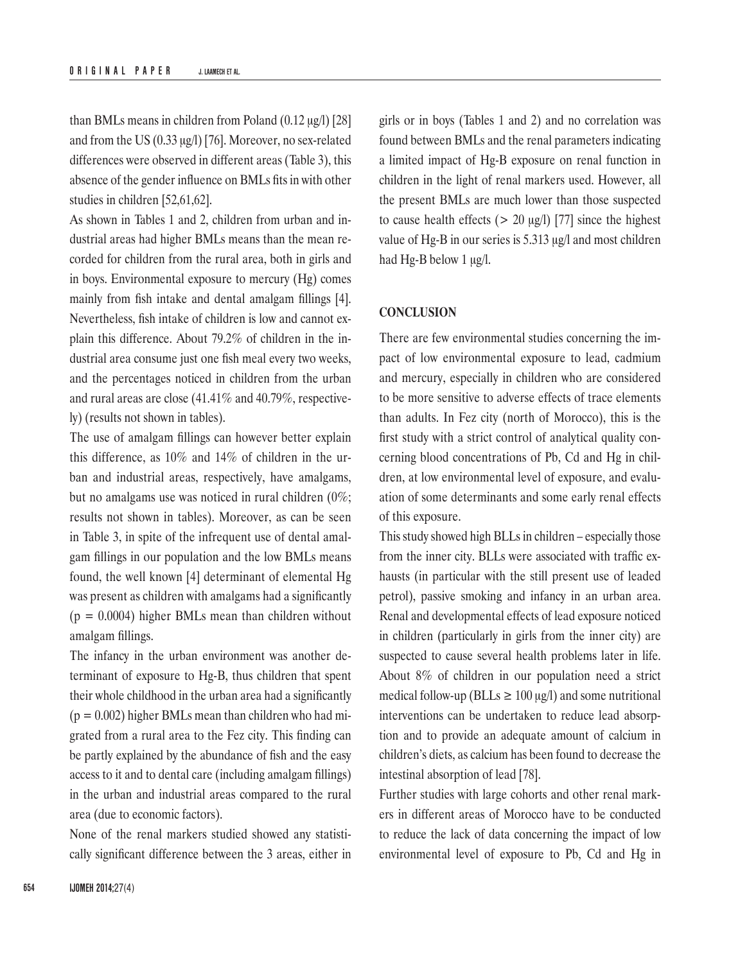than BMLs means in children from Poland (0.12 μg/l) [28] and from the US (0.33 μg/l) [76]. Moreover, no sex-related differences were observed in different areas (Table 3), this absence of the gender influence on BMLs fits in with other studies in children [52,61,62].

As shown in Tables 1 and 2, children from urban and industrial areas had higher BMLs means than the mean recorded for children from the rural area, both in girls and in boys. Environmental exposure to mercury (Hg) comes mainly from fish intake and dental amalgam fillings [4]. Nevertheless, fish intake of children is low and cannot explain this difference. About 79.2% of children in the industrial area consume just one fish meal every two weeks, and the percentages noticed in children from the urban and rural areas are close (41.41% and 40.79%, respectively) (results not shown in tables).

The use of amalgam fillings can however better explain this difference, as 10% and 14% of children in the urban and industrial areas, respectively, have amalgams, but no amalgams use was noticed in rural children (0%; results not shown in tables). Moreover, as can be seen in Table 3, in spite of the infrequent use of dental amalgam fillings in our population and the low BMLs means found, the well known [4] determinant of elemental Hg was present as children with amalgams had a significantly  $(p = 0.0004)$  higher BMLs mean than children without amalgam fillings.

The infancy in the urban environment was another determinant of exposure to Hg-B, thus children that spent their whole childhood in the urban area had a significantly  $(p = 0.002)$  higher BMLs mean than children who had migrated from a rural area to the Fez city. This finding can be partly explained by the abundance of fish and the easy access to it and to dental care (including amalgam fillings) in the urban and industrial areas compared to the rural area (due to economic factors).

None of the renal markers studied showed any statistically significant difference between the 3 areas, either in girls or in boys (Tables 1 and 2) and no correlation was found between BMLs and the renal parameters indicating a limited impact of Hg-B exposure on renal function in children in the light of renal markers used. However, all the present BMLs are much lower than those suspected to cause health effects ( $> 20 \text{ µg/l}$ ) [77] since the highest value of Hg-B in our series is 5.313 μg/l and most children had Hg-B below 1 μg/l.

## **CONCLUSION**

There are few environmental studies concerning the impact of low environmental exposure to lead, cadmium and mercury, especially in children who are considered to be more sensitive to adverse effects of trace elements than adults. In Fez city (north of Morocco), this is the first study with a strict control of analytical quality concerning blood concentrations of Pb, Cd and Hg in children, at low environmental level of exposure, and evaluation of some determinants and some early renal effects of this exposure.

This study showed high BLLs in children – especially those from the inner city. BLLs were associated with traffic exhausts (in particular with the still present use of leaded petrol), passive smoking and infancy in an urban area. Renal and developmental effects of lead exposure noticed in children (particularly in girls from the inner city) are suspected to cause several health problems later in life. About 8% of children in our population need a strict medical follow-up (BLLs  $\geq 100 \mu g/l$ ) and some nutritional interventions can be undertaken to reduce lead absorption and to provide an adequate amount of calcium in children's diets, as calcium has been found to decrease the intestinal absorption of lead [78].

Further studies with large cohorts and other renal markers in different areas of Morocco have to be conducted to reduce the lack of data concerning the impact of low environmental level of exposure to Pb, Cd and Hg in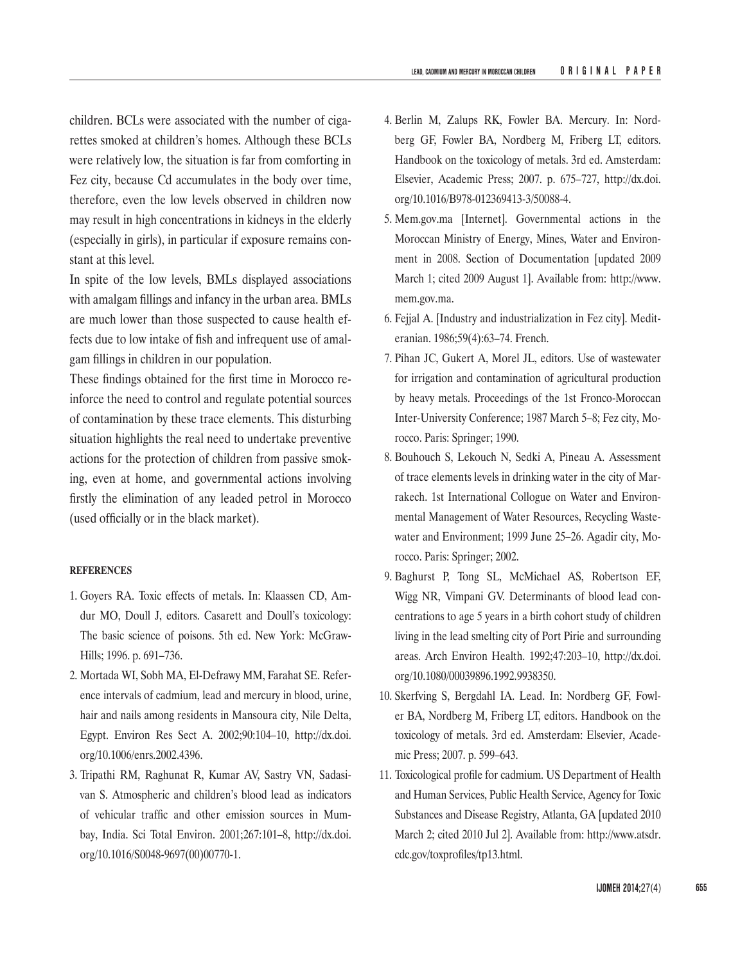children. BCLs were associated with the number of cigarettes smoked at children's homes. Although these BCLs were relatively low, the situation is far from comforting in Fez city, because Cd accumulates in the body over time, therefore, even the low levels observed in children now may result in high concentrations in kidneys in the elderly (especially in girls), in particular if exposure remains constant at this level.

In spite of the low levels, BMLs displayed associations with amalgam fillings and infancy in the urban area. BMLs are much lower than those suspected to cause health effects due to low intake of fish and infrequent use of amalgam fillings in children in our population.

These findings obtained for the first time in Morocco reinforce the need to control and regulate potential sources of contamination by these trace elements. This disturbing situation highlights the real need to undertake preventive actions for the protection of children from passive smoking, even at home, and governmental actions involving firstly the elimination of any leaded petrol in Morocco (used officially or in the black market).

#### **REFERENCES**

- 1. Goyers RA. Toxic effects of metals. In: Klaassen CD, Amdur MO, Doull J, editors. Casarett and Doull's toxicology: The basic science of poisons. 5th ed. New York: McGraw-Hills; 1996. p. 691–736.
- 2. Mortada WI, Sobh MA, El-Defrawy MM, Farahat SE. Reference intervals of cadmium, lead and mercury in blood, urine, hair and nails among residents in Mansoura city, Nile Delta, Egypt. Environ Res Sect A. 2002;90:104–10, [http://dx.doi.](http://dx.doi.org/10.1006/enrs.2002.4396) [org/10.1006/enrs.2002.4396](http://dx.doi.org/10.1006/enrs.2002.4396).
- 3. Tripathi RM, Raghunat R, Kumar AV, Sastry VN, Sadasivan S. Atmospheric and children's blood lead as indicators of vehicular traffic and other emission sources in Mumbay, India. Sci Total Environ. 2001;267:101–8, [http://dx.doi.](http://dx.doi.org/10.1016/S0048-9697(00)00770-1) [org/10.1016/S0048-9697\(00\)00770-1](http://dx.doi.org/10.1016/S0048-9697(00)00770-1).
- 4. Berlin M, Zalups RK, Fowler BA. Mercury. In: Nordberg GF, Fowler BA, Nordberg M, Friberg LT, editors. Handbook on the toxicology of metals. 3rd ed. Amsterdam: Elsevier, Academic Press; 2007. p. 675–727, [http://dx.doi.](http://dx.doi.org/10.1016/B978-012369413-3/50088-4) [org/10.1016/B978-012369413-3/50088-4](http://dx.doi.org/10.1016/B978-012369413-3/50088-4).
- 5. Mem.gov.ma [Internet]. Governmental actions in the Moroccan Ministry of Energy, Mines, Water and Environment in 2008. Section of Documentation [updated 2009 March 1; cited 2009 August 1]. Available from: http://www. mem.gov.ma.
- 6. Fejjal A. [Industry and industrialization in Fez city]. Mediteranian. 1986;59(4):63–74. French.
- 7. Pihan JC, Gukert A, Morel JL, editors. Use of wastewater for irrigation and contamination of agricultural production by heavy metals. Proceedings of the 1st Fronco-Moroccan Inter-University Conference; 1987 March 5–8; Fez city, Morocco. Paris: Springer; 1990.
- 8. Bouhouch S, Lekouch N, Sedki A, Pineau A. Assessment of trace elements levels in drinking water in the city of Marrakech. 1st International Collogue on Water and Environmental Management of Water Resources, Recycling Wastewater and Environment; 1999 June 25–26. Agadir city, Morocco. Paris: Springer; 2002.
- 9. Baghurst P, Tong SL, McMichael AS, Robertson EF, Wigg NR, Vimpani GV. Determinants of blood lead concentrations to age 5 years in a birth cohort study of children living in the lead smelting city of Port Pirie and surrounding areas. Arch Environ Health. 1992;47:203–10, [http://dx.doi.](http://dx.doi.org/10.1080/00039896.1992.9938350) [org/10.1080/00039896.1992.9938350](http://dx.doi.org/10.1080/00039896.1992.9938350).
- 10. Skerfving S, Bergdahl IA. Lead. In: Nordberg GF, Fowler BA, Nordberg M, Friberg LT, editors. Handbook on the toxicology of metals. 3rd ed. Amsterdam: Elsevier, Academic Press; 2007. p. 599–643.
- 11. Toxicological profile for cadmium. US Department of Health and Human Services, Public Health Service, Agency for Toxic Substances and Disease Registry, Atlanta, GA [updated 2010 March 2; cited 2010 Jul 2]. Available from: http://www.atsdr. cdc.gov/toxprofiles/tp13.html.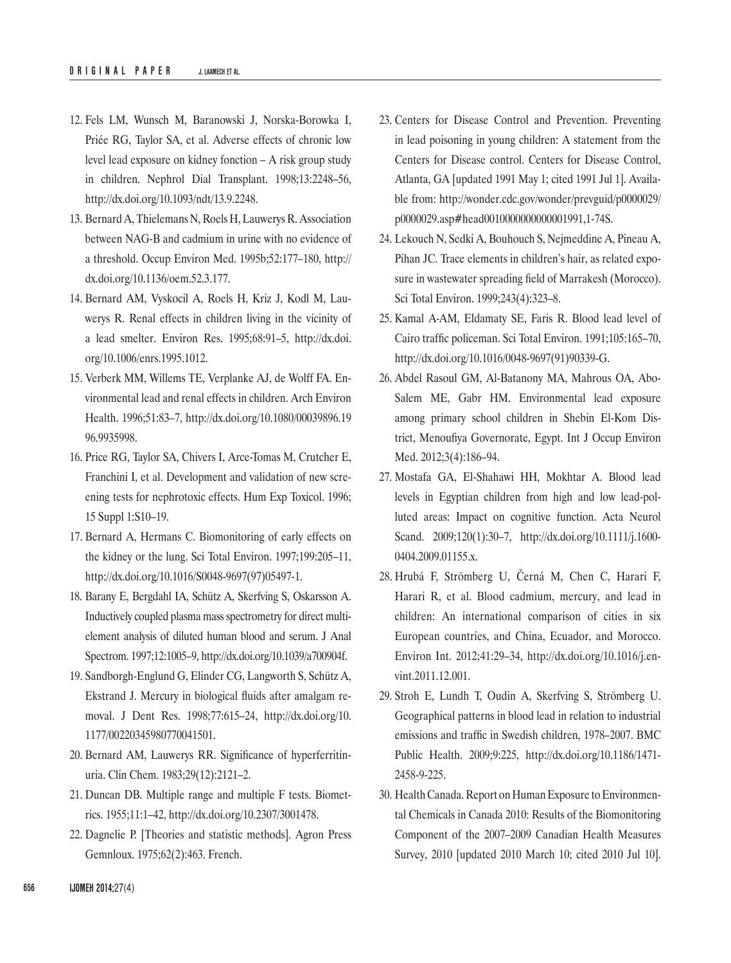- 12. Fels LM, Wunsch M, Baranowski J, Norska-Borowka I, Priée RG, Taylor SA, et al. Adverse effects of chronic low level lead exposure on kidney fonction – A risk group study in children. Nephrol Dial Transplant. 1998;13:2248–56, <http://dx.doi.org/10.1093/ndt/13.9.2248>.
- 13. Bernard A, Thielemans N, Roels H, Lauwerys R. Association between NAG-B and cadmium in urine with no evidence of a threshold. Occup Environ Med. 1995b;52:177–180, [http://](http://dx.doi.org/10.1136/oem.52.3.177) [dx.doi.org/10.1136/oem.52.3.177](http://dx.doi.org/10.1136/oem.52.3.177).
- 14. Bernard AM, Vyskocil A, Roels H, Kriz J, Kodl M, Lauwerys R. Renal effects in children living in the vicinity of a lead smelter. Environ Res. 1995;68:91–5, [http://dx.doi.](http://dx.doi.org/10.1006/enrs.1995.1012) [org/10.1006/enrs.1995.1012](http://dx.doi.org/10.1006/enrs.1995.1012).
- 15. Verberk MM, Willems TE, Verplanke AJ, de Wolff FA. Environmental lead and renal effects in children. Arch Environ Health. 1996;51:83–7, [http://dx.doi.org/10.1080/00039896.19](http://dx.doi.org/10.1080/00039896.1996.9935998) [96.9935998.](http://dx.doi.org/10.1080/00039896.1996.9935998)
- 16. Price RG, Taylor SA, Chivers I, Arce-Tomas M, Crutcher E, Franchini I, et al. Development and validation of new screening tests for nephrotoxic effects. Hum Exp Toxicol. 1996; 15 Suppl 1:S10–19.
- 17. Bernard A, Hermans C. Biomonitoring of early effects on the kidney or the lung. Sci Total Environ. 1997;199:205–11, [http://dx.doi.org/10.1016/S0048-9697\(97\)05497-1](http://dx.doi.org/10.1016/S0048-9697(97)05497-1).
- 18. Barany E, Bergdahl IA, Schütz A, Skerfving S, Oskarsson A. Inductively coupled plasma mass spectrometry for direct multielement analysis of diluted human blood and serum. J Anal Spectrom. 1997;12:1005–9,<http://dx.doi.org/10.1039/a700904f>.
- 19. Sandborgh-Englund G, Elinder CG, Langworth S, Schütz A, Ekstrand J. Mercury in biological fluids after amalgam removal. J Dent Res. 1998;77:615–24, [http://dx.doi.org/10.](http://dx.doi.org/10.1177/00220345980770041501) [1177/00220345980770041501](http://dx.doi.org/10.1177/00220345980770041501).
- 20. Bernard AM, Lauwerys RR. Significance of hyperferritinuria. Clin Chem. 1983;29(12):2121–2.
- 21. Duncan DB. Multiple range and multiple F tests. Biometrics. 1955;11:1–42, <http://dx.doi.org/10.2307/3001478>.
- 22. Dagnelie P. [Theories and statistic methods]. Agron Press Gemnloux. 1975;62(2):463. French.
- 23. Centers for Disease Control and Prevention. Preventing in lead poisoning in young children: A statement from the Centers for Disease control. Centers for Disease Control, Atlanta, GA [updated 1991 May 1; cited 1991 Jul 1]. Available from: [http://wonder.cdc.gov/wonder/prevguid/p0000029/](http://wonder.cdc.gov/wonder/prevguid/p0000029/p0000029.asp#head0010000000000001991,1-74S) [p0000029.asp#head0010000000000001991,1-74S.](http://wonder.cdc.gov/wonder/prevguid/p0000029/p0000029.asp#head0010000000000001991,1-74S)
- 24. Lekouch N, Sedki A, Bouhouch S, Nejmeddine A, Pineau A, Pihan JC. Trace elements in children's hair, as related exposure in wastewater spreading field of Marrakesh (Morocco). Sci Total Environ. 1999;243(4):323–8.
- 25. Kamal A-AM, Eldamaty SE, Faris R. Blood lead level of Cairo traffic policeman. Sci Total Environ. 1991;105:165–70, [http://dx.doi.org/10.1016/0048-9697\(91\)90339-G](http://dx.doi.org/10.1016/0048-9697(91)90339-G).
- 26. Abdel Rasoul GM, Al-Batanony MA, Mahrous OA, Abo-Salem ME, Gabr HM. Environmental lead exposure among primary school children in Shebin El-Kom District, Menoufiya Governorate, Egypt. Int J Occup Environ Med. 2012;3(4):186–94.
- 27. Mostafa GA, El-Shahawi HH, Mokhtar A. Blood lead levels in Egyptian children from high and low lead-polluted areas: Impact on cognitive function. Acta Neurol Scand. 2009;120(1):30–7, [http://dx.doi.org/10.1111/j.1600-](http://dx.doi.org/10.1111/j.1600-0404.2009.01155.x) [0404.2009.01155.x](http://dx.doi.org/10.1111/j.1600-0404.2009.01155.x).
- 28. Hrubá F, Strömberg U, Černá M, Chen C, Harari F, Harari R, et al. Blood cadmium, mercury, and lead in children: An international comparison of cities in six European countries, and China, Ecuador, and Morocco. Environ Int. 2012;41:29–34, [http://dx.doi.org/10.1016/j.en](http://dx.doi.org/10.1016/j.envint.2011.12.001)[vint.2011.12.001](http://dx.doi.org/10.1016/j.envint.2011.12.001).
- 29. Stroh E, Lundh T, Oudin A, Skerfving S, Strömberg U. Geographical patterns in blood lead in relation to industrial emissions and traffic in Swedish children, 1978–2007. BMC Public Health. 2009;9:225, [http://dx.doi.org/10.1186/1471-](http://dx.doi.org/10.1186/1471-2458-9-225) [2458-9-225](http://dx.doi.org/10.1186/1471-2458-9-225).
- 30. Health Canada. Report on Human Exposure to Environmental Chemicals in Canada 2010: Results of the Biomonitoring Component of the 2007–2009 Canadian Health Measures Survey, 2010 [updated 2010 March 10; cited 2010 Jul 10].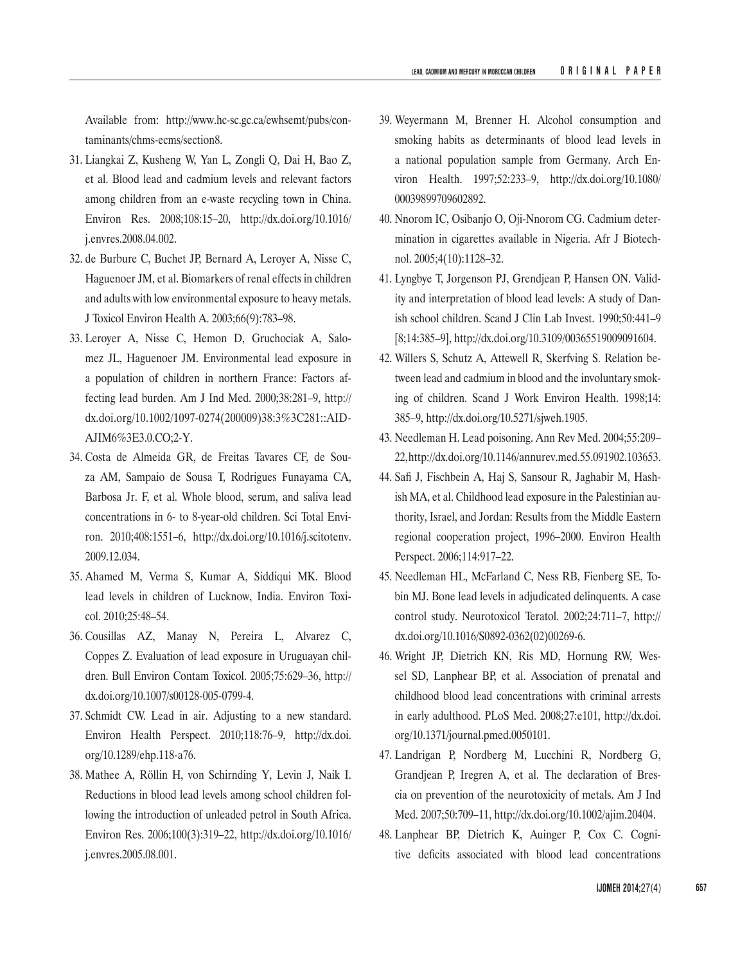Available from: http://www.hc-sc.gc.ca/ewhsemt/pubs/contaminants/chms-ecms/section8.

- 31. Liangkai Z, Kusheng W, Yan L, Zongli Q, Dai H, Bao Z, et al. Blood lead and cadmium levels and relevant factors among children from an e-waste recycling town in China. Environ Res. 2008;108:15–20, [http://dx.doi.org/10.1016/](http://dx.doi.org/10.1016/j.envres.2008.04.002) [j.envres.2008.04.002](http://dx.doi.org/10.1016/j.envres.2008.04.002).
- 32. de Burbure C, Buchet JP, Bernard A, Leroyer A, Nisse C, Haguenoer JM, et al. Biomarkers of renal effects in children and adults with low environmental exposure to heavy metals. J Toxicol Environ Health A. 2003;66(9):783–98.
- 33. Leroyer A, Nisse C, Hemon D, Gruchociak A, Salomez JL, Haguenoer JM. Environmental lead exposure in a population of children in northern France: Factors affecting lead burden. Am J Ind Med. 2000;38:281–9, [http://](http://dx.doi.org/10.1002/1097-0274(200009)38:3%3C281::AID-AJIM6%3E3.0.CO;2-Y) [dx.doi.org/10.1002/1097-0274\(200009\)38:3%3C281::AID-](http://dx.doi.org/10.1002/1097-0274(200009)38:3%3C281::AID-AJIM6%3E3.0.CO;2-Y)[AJIM6%3E3.0.CO;2-Y](http://dx.doi.org/10.1002/1097-0274(200009)38:3%3C281::AID-AJIM6%3E3.0.CO;2-Y).
- 34. Costa de Almeida GR, de Freitas Tavares CF, de Souza AM, Sampaio de Sousa T, Rodrigues Funayama CA, Barbosa Jr. F, et al. Whole blood, serum, and saliva lead concentrations in 6- to 8-year-old children. Sci Total Environ. 2010;408:1551–6, [http://dx.doi.org/10.1016/j.scitotenv.](http://dx.doi.org/10.1016/j.scitotenv.2009.12.034) [2009.12.034.](http://dx.doi.org/10.1016/j.scitotenv.2009.12.034)
- 35. Ahamed M, Verma S, Kumar A, Siddiqui MK. Blood lead levels in children of Lucknow, India. Environ Toxicol. 2010;25:48–54.
- 36. Cousillas AZ, Manay N, Pereira L, Alvarez C, Coppes Z. Evaluation of lead exposure in Uruguayan children. Bull Environ Contam Toxicol. 2005;75:629–36, [http://](http://dx.doi.org/10.1007/s00128-005-0799-4) [dx.doi.org/10.1007/s00128-005-0799-4](http://dx.doi.org/10.1007/s00128-005-0799-4).
- 37. Schmidt CW. Lead in air. Adjusting to a new standard. Environ Health Perspect. 2010;118:76–9, [http://dx.doi.](http://dx.doi.org/10.1289/ehp.118-a76) [org/10.1289/ehp.118-a76](http://dx.doi.org/10.1289/ehp.118-a76).
- 38. Mathee A, Röllin H, von Schirnding Y, Levin J, Naik I. Reductions in blood lead levels among school children following the introduction of unleaded petrol in South Africa. Environ Res. 2006;100(3):319–22, [http://dx.doi.org/10.1016/](http://dx.doi.org/10.1016/j.envres.2005.08.001) [j.envres.2005.08.001](http://dx.doi.org/10.1016/j.envres.2005.08.001).
- 39. Weyermann M, Brenner H. Alcohol consumption and smoking habits as determinants of blood lead levels in a national population sample from Germany. Arch Environ Health. 1997;52:233–9, [http://dx.doi.org/10.1080/](http://dx.doi.org/10.1080/00039899709602892) [00039899709602892.](http://dx.doi.org/10.1080/00039899709602892)
- 40. Nnorom IC, Osibanjo O, Oji-Nnorom CG. Cadmium determination in cigarettes available in Nigeria. Afr J Biotechnol. 2005;4(10):1128–32.
- 41. Lyngbye T, Jorgenson PJ, Grendjean P, Hansen ON. Validity and interpretation of blood lead levels: A study of Danish school children. Scand J Clin Lab Invest. 1990;50:441–9 [8;14:385–9],<http://dx.doi.org/10.3109/00365519009091604>.
- 42. Willers S, Schutz A, Attewell R, Skerfving S. Relation between lead and cadmium in blood and the involuntary smoking of children. Scand J Work Environ Health. 1998;14: 385–9, <http://dx.doi.org/10.5271/sjweh.1905>.
- 43. Needleman H. Lead poisoning. Ann Rev Med. 2004;55:209– 22, <http://dx.doi.org/10.1146/annurev.med.55.091902.103653>.
- 44. Safi J, Fischbein A, Haj S, Sansour R, Jaghabir M, Hashish MA, et al. Childhood lead exposure in the Palestinian authority, Israel, and Jordan: Results from the Middle Eastern regional cooperation project, 1996–2000. Environ Health Perspect. 2006;114:917–22.
- 45. Needleman HL, McFarland C, Ness RB, Fienberg SE, Tobin MJ. Bone lead levels in adjudicated delinquents. A case control study. Neurotoxicol Teratol. 2002;24:711–7, [http://](http://dx.doi.org/10.1016/S0892-0362(02)00269-6) [dx.doi.org/10.1016/S0892-0362\(02\)00269-6](http://dx.doi.org/10.1016/S0892-0362(02)00269-6).
- 46. Wright JP, Dietrich KN, Ris MD, Hornung RW, Wessel SD, Lanphear BP, et al. Association of prenatal and childhood blood lead concentrations with criminal arrests in early adulthood. PLoS Med. 2008;27:e101, [http://dx.doi.](http://dx.doi.org/10.1371/journal.pmed.0050101) [org/10.1371/journal.pmed.0050101](http://dx.doi.org/10.1371/journal.pmed.0050101).
- 47. Landrigan P, Nordberg M, Lucchini R, Nordberg G, Grandjean P, Iregren A, et al. The declaration of Brescia on prevention of the neurotoxicity of metals. Am J Ind Med. 2007;50:709–11, <http://dx.doi.org/10.1002/ajim.20404>.
- 48. Lanphear BP, Dietrich K, Auinger P, Cox C. Cognitive deficits associated with blood lead concentrations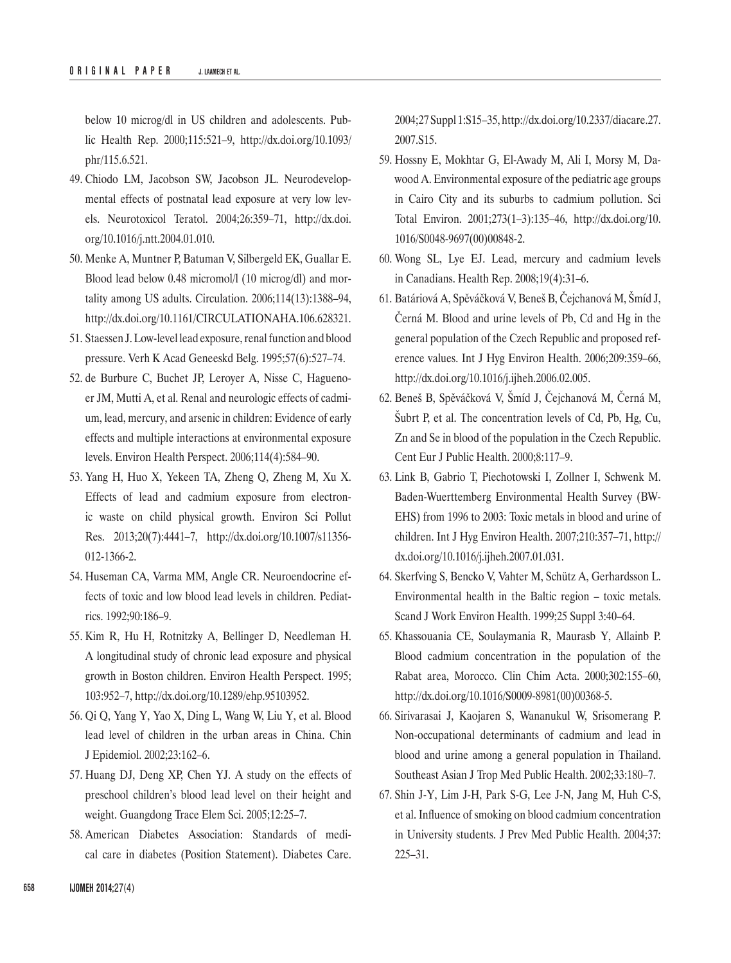below 10 microg/dl in US children and adolescents. Public Health Rep. 2000;115:521–9, [http://dx.doi.org/10.1093/](http://dx.doi.org/10.1093/phr/115.6.521) [phr/115.6.521](http://dx.doi.org/10.1093/phr/115.6.521).

- 49. Chiodo LM, Jacobson SW, Jacobson JL. Neurodevelopmental effects of postnatal lead exposure at very low levels. Neurotoxicol Teratol. 2004;26:359–71, [http://dx.doi.](http://dx.doi.org/10.1016/j.ntt.2004.01.010) [org/10.1016/j.ntt.2004.01.010](http://dx.doi.org/10.1016/j.ntt.2004.01.010).
- 50. Menke A, Muntner P, Batuman V, Silbergeld EK, Guallar E. Blood lead below 0.48 micromol/l (10 microg/dl) and mortality among US adults. Circulation. 2006;114(13):1388–94, <http://dx.doi.org/10.1161/CIRCULATIONAHA.106.628321>.
- 51. Staessen J. Low-level lead exposure, renal function and blood pressure. Verh K Acad Geneeskd Belg. 1995;57(6):527–74.
- 52. de Burbure C, Buchet JP, Leroyer A, Nisse C, Haguenoer JM, Mutti A, et al. Renal and neurologic effects of cadmium, lead, mercury, and arsenic in children: Evidence of early effects and multiple interactions at environmental exposure levels. Environ Health Perspect. 2006;114(4):584–90.
- 53. Yang H, Huo X, Yekeen TA, Zheng Q, Zheng M, Xu X. Effects of lead and cadmium exposure from electronic waste on child physical growth. Environ Sci Pollut Res. 2013;20(7):4441–7, [http://dx.doi.org/10.1007/s11356-](http://dx.doi.org/10.1007/s11356-012-1366-2) [012-1366-2](http://dx.doi.org/10.1007/s11356-012-1366-2).
- 54. Huseman CA, Varma MM, Angle CR. Neuroendocrine effects of toxic and low blood lead levels in children. Pediatrics. 1992;90:186–9.
- 55. Kim R, Hu H, Rotnitzky A, Bellinger D, Needleman H. A longitudinal study of chronic lead exposure and physical growth in Boston children. Environ Health Perspect. 1995; 103:952–7, <http://dx.doi.org/10.1289/ehp.95103952>.
- 56. Qi Q, Yang Y, Yao X, Ding L, Wang W, Liu Y, et al. Blood lead level of children in the urban areas in China. Chin J Epidemiol. 2002;23:162–6.
- 57. Huang DJ, Deng XP, Chen YJ. A study on the effects of preschool children's blood lead level on their height and weight. Guangdong Trace Elem Sci. 2005;12:25–7.
- 58. American Diabetes Association: Standards of medical care in diabetes (Position Statement). Diabetes Care.

2004;27 Suppl 1:S15–35, [http://dx.doi.org/10.2337/diacare.27.](http://dx.doi.org/10.2337/diacare.27.2007.S15) [2007.S15](http://dx.doi.org/10.2337/diacare.27.2007.S15).

- 59. Hossny E, Mokhtar G, El-Awady M, Ali I, Morsy M, Dawood A. Environmental exposure of the pediatric age groups in Cairo City and its suburbs to cadmium pollution. Sci Total Environ. 2001;273(1–3):135–46, [http://dx.doi.org/10.](http://dx.doi.org/10.1016/S0048-9697(00)00848-2) [1016/S0048-9697\(00\)00848-2](http://dx.doi.org/10.1016/S0048-9697(00)00848-2).
- 60. Wong SL, Lye EJ. Lead, mercury and cadmium levels in Canadians. Health Rep. 2008;19(4):31–6.
- 61. Batáriová A, Spěváčková V, Beneš B, Čejchanová M, Šmíd J, Černá M. Blood and urine levels of Pb, Cd and Hg in the general population of the Czech Republic and proposed reference values. Int J Hyg Environ Health. 2006;209:359–66, <http://dx.doi.org/10.1016/j.ijheh.2006.02.005>.
- 62. Beneš B, Spěváčková V, Šmíd J, Čejchanová M, Černá M, Šubrt P, et al. The concentration levels of Cd, Pb, Hg, Cu, Zn and Se in blood of the population in the Czech Republic. Cent Eur J Public Health. 2000;8:117–9.
- 63. Link B, Gabrio T, Piechotowski I, Zollner I, Schwenk M. Baden-Wuerttemberg Environmental Health Survey (BW-EHS) from 1996 to 2003: Toxic metals in blood and urine of children. Int J Hyg Environ Health. 2007;210:357–71, [http://](http://dx.doi.org/10.1016/j.ijheh.2007.01.031) [dx.doi.org/10.1016/j.ijheh.2007.01.031](http://dx.doi.org/10.1016/j.ijheh.2007.01.031).
- 64. Skerfving S, Bencko V, Vahter M, Schütz A, Gerhardsson L. Environmental health in the Baltic region – toxic metals. Scand J Work Environ Health. 1999;25 Suppl 3:40–64.
- 65. Khassouania CE, Soulaymania R, Maurasb Y, Allainb P. Blood cadmium concentration in the population of the Rabat area, Morocco. Clin Chim Acta. 2000;302:155–60, [http://dx.doi.org/10.1016/S0009-8981\(00\)00368-5](http://dx.doi.org/10.1016/S0009-8981(00)00368-5).
- 66. Sirivarasai J, Kaojaren S, Wananukul W, Srisomerang P. Non-occupational determinants of cadmium and lead in blood and urine among a general population in Thailand. Southeast Asian J Trop Med Public Health. 2002;33:180–7.
- 67. Shin J-Y, Lim J-H, Park S-G, Lee J-N, Jang M, Huh C-S, et al. Influence of smoking on blood cadmium concentration in University students. J Prev Med Public Health. 2004;37: 225–31.